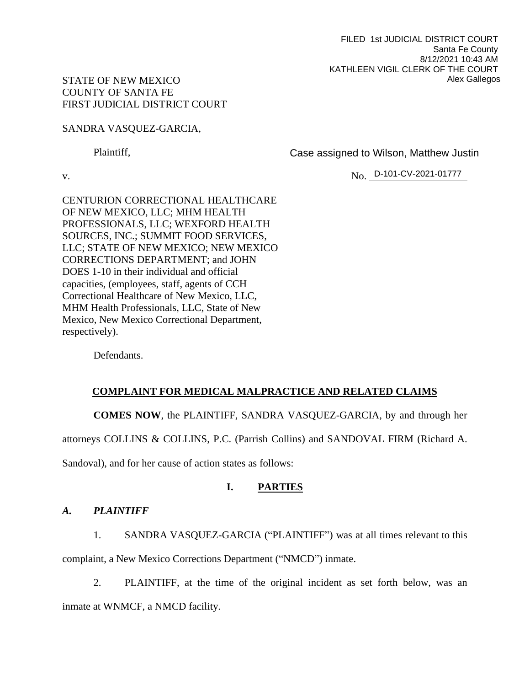FILED 1st JUDICIAL DISTRICT COURT Santa Fe County 8/12/2021 10:43 AM KATHLEEN VIGIL CLERK OF THE COURT Alex Gallegos

## STATE OF NEW MEXICO COUNTY OF SANTA FE FIRST JUDICIAL DISTRICT COURT

SANDRA VASQUEZ-GARCIA,

Plaintiff,

Case assigned to Wilson, Matthew Justin

v. No. No. D-101-CV-2021-01777

CENTURION CORRECTIONAL HEALTHCARE OF NEW MEXICO, LLC; MHM HEALTH PROFESSIONALS, LLC; WEXFORD HEALTH SOURCES, INC.; SUMMIT FOOD SERVICES, LLC; STATE OF NEW MEXICO; NEW MEXICO CORRECTIONS DEPARTMENT; and JOHN DOES 1-10 in their individual and official capacities, (employees, staff, agents of CCH Correctional Healthcare of New Mexico, LLC, MHM Health Professionals, LLC, State of New Mexico, New Mexico Correctional Department, respectively).

Defendants.

# **COMPLAINT FOR MEDICAL MALPRACTICE AND RELATED CLAIMS**

**COMES NOW**, the PLAINTIFF, SANDRA VASQUEZ-GARCIA, by and through her

attorneys COLLINS & COLLINS, P.C. (Parrish Collins) and SANDOVAL FIRM (Richard A.

Sandoval), and for her cause of action states as follows:

# **I. PARTIES**

# *A. PLAINTIFF*

1. SANDRA VASQUEZ-GARCIA ("PLAINTIFF") was at all times relevant to this complaint, a New Mexico Corrections Department ("NMCD") inmate.

2. PLAINTIFF, at the time of the original incident as set forth below, was an inmate at WNMCF, a NMCD facility.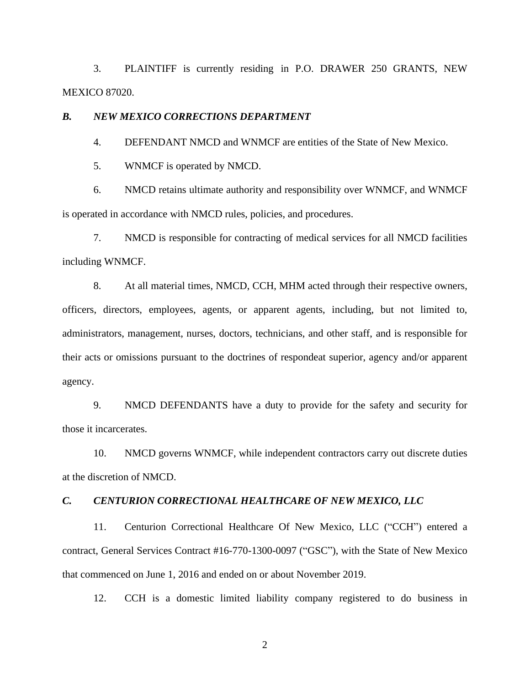3. PLAINTIFF is currently residing in P.O. DRAWER 250 GRANTS, NEW MEXICO 87020.

### *B. NEW MEXICO CORRECTIONS DEPARTMENT*

4. DEFENDANT NMCD and WNMCF are entities of the State of New Mexico.

5. WNMCF is operated by NMCD.

6. NMCD retains ultimate authority and responsibility over WNMCF, and WNMCF is operated in accordance with NMCD rules, policies, and procedures.

7. NMCD is responsible for contracting of medical services for all NMCD facilities including WNMCF.

8. At all material times, NMCD, CCH, MHM acted through their respective owners, officers, directors, employees, agents, or apparent agents, including, but not limited to, administrators, management, nurses, doctors, technicians, and other staff, and is responsible for their acts or omissions pursuant to the doctrines of respondeat superior, agency and/or apparent agency.

9. NMCD DEFENDANTS have a duty to provide for the safety and security for those it incarcerates.

10. NMCD governs WNMCF, while independent contractors carry out discrete duties at the discretion of NMCD.

### *C. CENTURION CORRECTIONAL HEALTHCARE OF NEW MEXICO, LLC*

11. Centurion Correctional Healthcare Of New Mexico, LLC ("CCH") entered a contract, General Services Contract #16-770-1300-0097 ("GSC"), with the State of New Mexico that commenced on June 1, 2016 and ended on or about November 2019.

12. CCH is a domestic limited liability company registered to do business in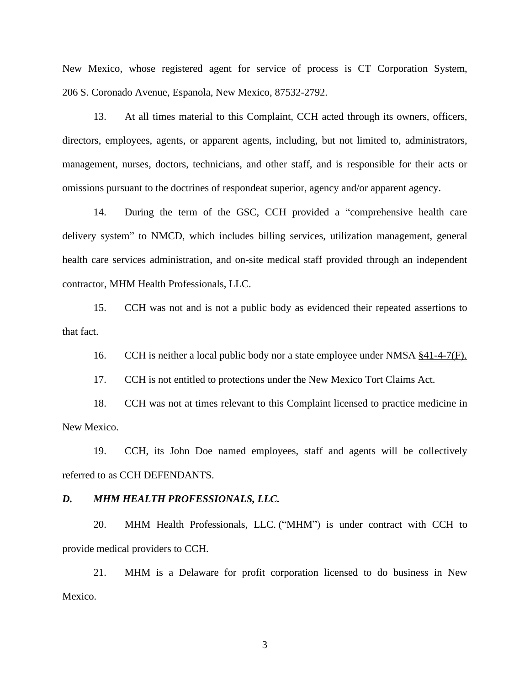New Mexico, whose registered agent for service of process is CT Corporation System, 206 S. Coronado Avenue, Espanola, New Mexico, 87532-2792.

13. At all times material to this Complaint, CCH acted through its owners, officers, directors, employees, agents, or apparent agents, including, but not limited to, administrators, management, nurses, doctors, technicians, and other staff, and is responsible for their acts or omissions pursuant to the doctrines of respondeat superior, agency and/or apparent agency.

14. During the term of the GSC, CCH provided a "comprehensive health care delivery system" to NMCD, which includes billing services, utilization management, general health care services administration, and on-site medical staff provided through an independent contractor, MHM Health Professionals, LLC.

15. CCH was not and is not a public body as evidenced their repeated assertions to that fact.

16. CCH is neither a local public body nor a state employee under NMSA §41-4-7(F).

17. CCH is not entitled to protections under the New Mexico Tort Claims Act.

18. CCH was not at times relevant to this Complaint licensed to practice medicine in New Mexico.

19. CCH, its John Doe named employees, staff and agents will be collectively referred to as CCH DEFENDANTS.

#### *D. MHM HEALTH PROFESSIONALS, LLC.*

20. MHM Health Professionals, LLC. ("MHM") is under contract with CCH to provide medical providers to CCH.

21. MHM is a Delaware for profit corporation licensed to do business in New Mexico.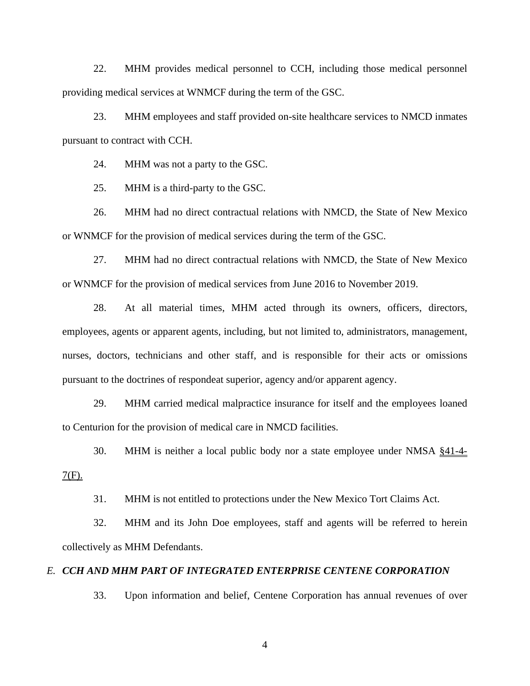22. MHM provides medical personnel to CCH, including those medical personnel providing medical services at WNMCF during the term of the GSC.

23. MHM employees and staff provided on-site healthcare services to NMCD inmates pursuant to contract with CCH.

24. MHM was not a party to the GSC.

25. MHM is a third-party to the GSC.

26. MHM had no direct contractual relations with NMCD, the State of New Mexico or WNMCF for the provision of medical services during the term of the GSC.

27. MHM had no direct contractual relations with NMCD, the State of New Mexico or WNMCF for the provision of medical services from June 2016 to November 2019.

28. At all material times, MHM acted through its owners, officers, directors, employees, agents or apparent agents, including, but not limited to, administrators, management, nurses, doctors, technicians and other staff, and is responsible for their acts or omissions pursuant to the doctrines of respondeat superior, agency and/or apparent agency.

29. MHM carried medical malpractice insurance for itself and the employees loaned to Centurion for the provision of medical care in NMCD facilities.

30. MHM is neither a local public body nor a state employee under NMSA §41-4-

 $7(F)$ .

31. MHM is not entitled to protections under the New Mexico Tort Claims Act.

32. MHM and its John Doe employees, staff and agents will be referred to herein collectively as MHM Defendants.

## *E. CCH AND MHM PART OF INTEGRATED ENTERPRISE CENTENE CORPORATION*

33. Upon information and belief, Centene Corporation has annual revenues of over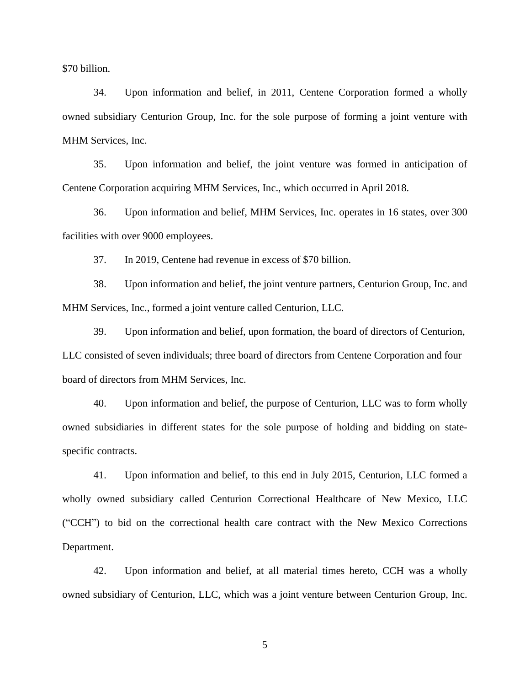\$70 billion.

34. Upon information and belief, in 2011, Centene Corporation formed a wholly owned subsidiary Centurion Group, Inc. for the sole purpose of forming a joint venture with MHM Services, Inc.

35. Upon information and belief, the joint venture was formed in anticipation of Centene Corporation acquiring MHM Services, Inc., which occurred in April 2018.

36. Upon information and belief, MHM Services, Inc. operates in 16 states, over 300 facilities with over 9000 employees.

37. In 2019, Centene had revenue in excess of \$70 billion.

38. Upon information and belief, the joint venture partners, Centurion Group, Inc. and MHM Services, Inc., formed a joint venture called Centurion, LLC.

39. Upon information and belief, upon formation, the board of directors of Centurion, LLC consisted of seven individuals; three board of directors from Centene Corporation and four board of directors from MHM Services, Inc.

40. Upon information and belief, the purpose of Centurion, LLC was to form wholly owned subsidiaries in different states for the sole purpose of holding and bidding on statespecific contracts.

41. Upon information and belief, to this end in July 2015, Centurion, LLC formed a wholly owned subsidiary called Centurion Correctional Healthcare of New Mexico, LLC ("CCH") to bid on the correctional health care contract with the New Mexico Corrections Department.

42. Upon information and belief, at all material times hereto, CCH was a wholly owned subsidiary of Centurion, LLC, which was a joint venture between Centurion Group, Inc.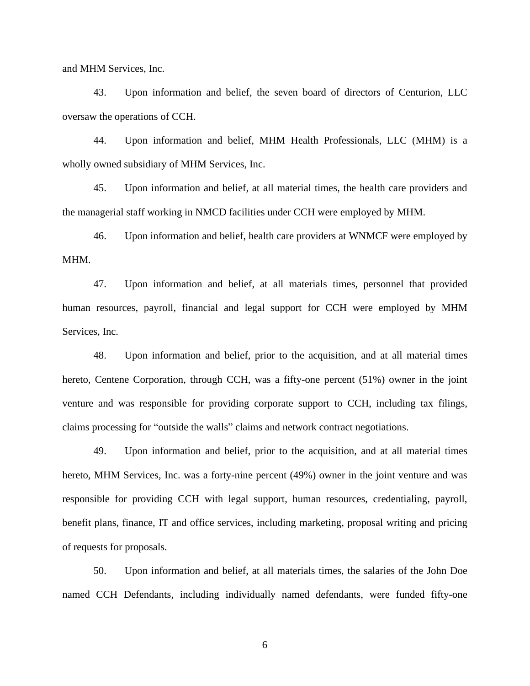and MHM Services, Inc.

43. Upon information and belief, the seven board of directors of Centurion, LLC oversaw the operations of CCH.

44. Upon information and belief, MHM Health Professionals, LLC (MHM) is a wholly owned subsidiary of MHM Services, Inc.

45. Upon information and belief, at all material times, the health care providers and the managerial staff working in NMCD facilities under CCH were employed by MHM.

46. Upon information and belief, health care providers at WNMCF were employed by MHM.

47. Upon information and belief, at all materials times, personnel that provided human resources, payroll, financial and legal support for CCH were employed by MHM Services, Inc.

48. Upon information and belief, prior to the acquisition, and at all material times hereto, Centene Corporation, through CCH, was a fifty-one percent (51%) owner in the joint venture and was responsible for providing corporate support to CCH, including tax filings, claims processing for "outside the walls" claims and network contract negotiations.

49. Upon information and belief, prior to the acquisition, and at all material times hereto, MHM Services, Inc. was a forty-nine percent (49%) owner in the joint venture and was responsible for providing CCH with legal support, human resources, credentialing, payroll, benefit plans, finance, IT and office services, including marketing, proposal writing and pricing of requests for proposals.

50. Upon information and belief, at all materials times, the salaries of the John Doe named CCH Defendants, including individually named defendants, were funded fifty-one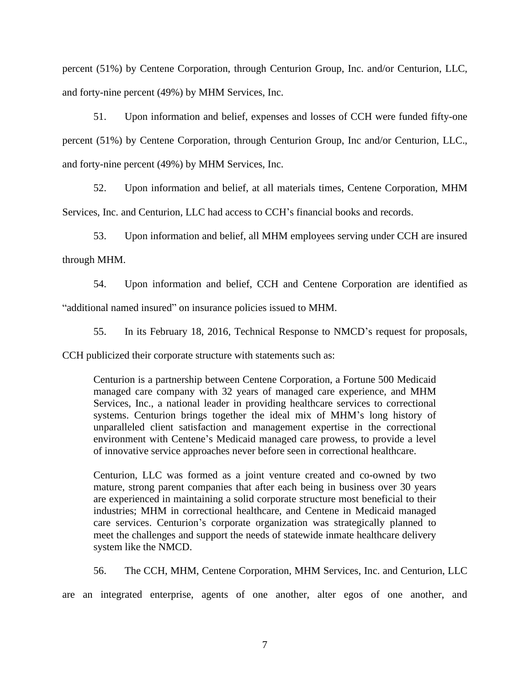percent (51%) by Centene Corporation, through Centurion Group, Inc. and/or Centurion, LLC, and forty-nine percent (49%) by MHM Services, Inc.

51. Upon information and belief, expenses and losses of CCH were funded fifty-one percent (51%) by Centene Corporation, through Centurion Group, Inc and/or Centurion, LLC., and forty-nine percent (49%) by MHM Services, Inc.

52. Upon information and belief, at all materials times, Centene Corporation, MHM Services, Inc. and Centurion, LLC had access to CCH's financial books and records.

53. Upon information and belief, all MHM employees serving under CCH are insured through MHM.

54. Upon information and belief, CCH and Centene Corporation are identified as "additional named insured" on insurance policies issued to MHM.

55. In its February 18, 2016, Technical Response to NMCD's request for proposals,

CCH publicized their corporate structure with statements such as:

Centurion is a partnership between Centene Corporation, a Fortune 500 Medicaid managed care company with 32 years of managed care experience, and MHM Services, Inc., a national leader in providing healthcare services to correctional systems. Centurion brings together the ideal mix of MHM's long history of unparalleled client satisfaction and management expertise in the correctional environment with Centene's Medicaid managed care prowess, to provide a level of innovative service approaches never before seen in correctional healthcare.

Centurion, LLC was formed as a joint venture created and co-owned by two mature, strong parent companies that after each being in business over 30 years are experienced in maintaining a solid corporate structure most beneficial to their industries; MHM in correctional healthcare, and Centene in Medicaid managed care services. Centurion's corporate organization was strategically planned to meet the challenges and support the needs of statewide inmate healthcare delivery system like the NMCD.

56. The CCH, MHM, Centene Corporation, MHM Services, Inc. and Centurion, LLC

are an integrated enterprise, agents of one another, alter egos of one another, and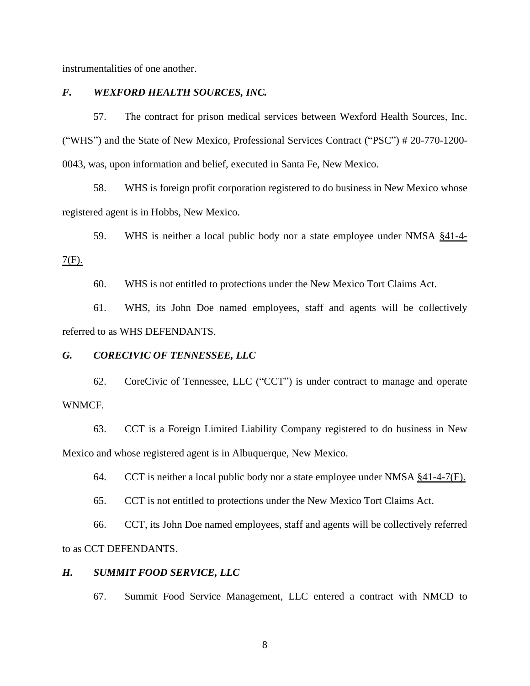instrumentalities of one another.

## *F. WEXFORD HEALTH SOURCES, INC.*

57. The contract for prison medical services between Wexford Health Sources, Inc. ("WHS") and the State of New Mexico, Professional Services Contract ("PSC") # 20-770-1200- 0043, was, upon information and belief, executed in Santa Fe, New Mexico.

58. WHS is foreign profit corporation registered to do business in New Mexico whose registered agent is in Hobbs, New Mexico.

59. WHS is neither a local public body nor a state employee under NMSA §41-4-

 $7(F)$ .

60. WHS is not entitled to protections under the New Mexico Tort Claims Act.

61. WHS, its John Doe named employees, staff and agents will be collectively referred to as WHS DEFENDANTS.

### *G. CORECIVIC OF TENNESSEE, LLC*

62. CoreCivic of Tennessee, LLC ("CCT") is under contract to manage and operate WNMCF.

63. CCT is a Foreign Limited Liability Company registered to do business in New Mexico and whose registered agent is in Albuquerque, New Mexico.

64. CCT is neither a local public body nor a state employee under NMSA  $§41-4-7(F)$ .

65. CCT is not entitled to protections under the New Mexico Tort Claims Act.

66. CCT, its John Doe named employees, staff and agents will be collectively referred to as CCT DEFENDANTS.

## *H. SUMMIT FOOD SERVICE, LLC*

67. Summit Food Service Management, LLC entered a contract with NMCD to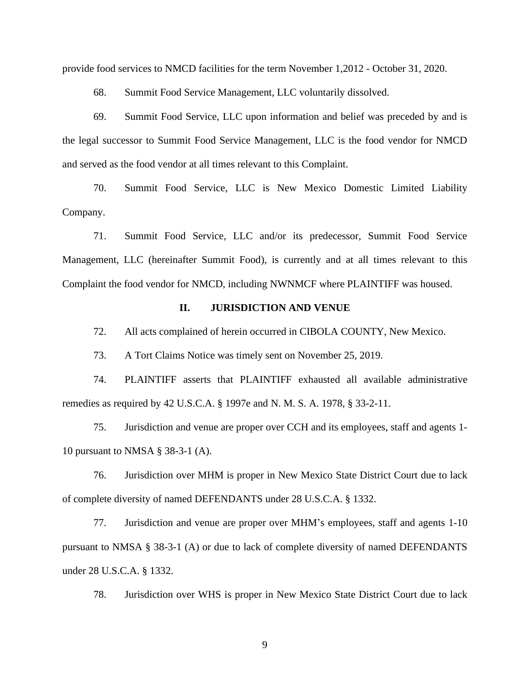provide food services to NMCD facilities for the term November 1,2012 - October 31, 2020.

68. Summit Food Service Management, LLC voluntarily dissolved.

69. Summit Food Service, LLC upon information and belief was preceded by and is the legal successor to Summit Food Service Management, LLC is the food vendor for NMCD and served as the food vendor at all times relevant to this Complaint.

70. Summit Food Service, LLC is New Mexico Domestic Limited Liability Company.

71. Summit Food Service, LLC and/or its predecessor, Summit Food Service Management, LLC (hereinafter Summit Food), is currently and at all times relevant to this Complaint the food vendor for NMCD, including NWNMCF where PLAINTIFF was housed.

### **II. JURISDICTION AND VENUE**

72. All acts complained of herein occurred in CIBOLA COUNTY, New Mexico.

73. A Tort Claims Notice was timely sent on November 25, 2019.

74. PLAINTIFF asserts that PLAINTIFF exhausted all available administrative remedies as required by 42 U.S.C.A. § 1997e and N. M. S. A. 1978, § 33-2-11.

75. Jurisdiction and venue are proper over CCH and its employees, staff and agents 1- 10 pursuant to NMSA § 38-3-1 (A).

76. Jurisdiction over MHM is proper in New Mexico State District Court due to lack of complete diversity of named DEFENDANTS under 28 U.S.C.A. § 1332.

77. Jurisdiction and venue are proper over MHM's employees, staff and agents 1-10 pursuant to NMSA § 38-3-1 (A) or due to lack of complete diversity of named DEFENDANTS under 28 U.S.C.A. § 1332.

78. Jurisdiction over WHS is proper in New Mexico State District Court due to lack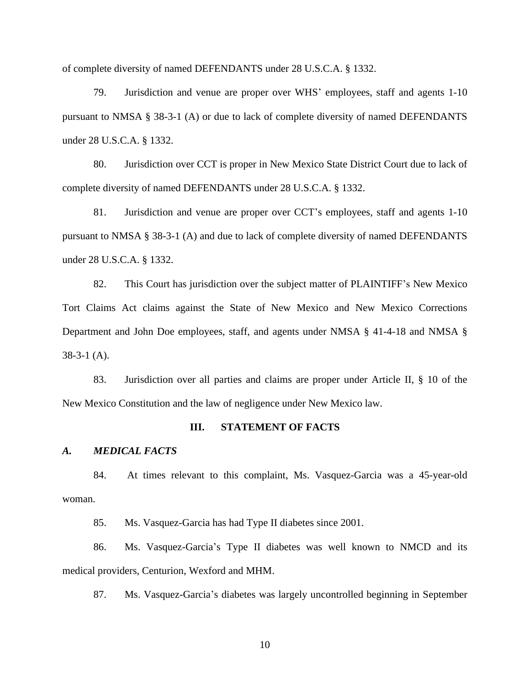of complete diversity of named DEFENDANTS under 28 U.S.C.A. § 1332.

79. Jurisdiction and venue are proper over WHS' employees, staff and agents 1-10 pursuant to NMSA § 38-3-1 (A) or due to lack of complete diversity of named DEFENDANTS under 28 U.S.C.A. § 1332.

80. Jurisdiction over CCT is proper in New Mexico State District Court due to lack of complete diversity of named DEFENDANTS under 28 U.S.C.A. § 1332.

81. Jurisdiction and venue are proper over CCT's employees, staff and agents 1-10 pursuant to NMSA § 38-3-1 (A) and due to lack of complete diversity of named DEFENDANTS under 28 U.S.C.A. § 1332.

82. This Court has jurisdiction over the subject matter of PLAINTIFF's New Mexico Tort Claims Act claims against the State of New Mexico and New Mexico Corrections Department and John Doe employees, staff, and agents under NMSA § 41-4-18 and NMSA § 38-3-1 (A).

83. Jurisdiction over all parties and claims are proper under Article II, § 10 of the New Mexico Constitution and the law of negligence under New Mexico law.

#### **III. STATEMENT OF FACTS**

#### *A. MEDICAL FACTS*

84. At times relevant to this complaint, Ms. Vasquez-Garcia was a 45-year-old woman.

85. Ms. Vasquez-Garcia has had Type II diabetes since 2001.

86. Ms. Vasquez-Garcia's Type II diabetes was well known to NMCD and its medical providers, Centurion, Wexford and MHM.

87. Ms. Vasquez-Garcia's diabetes was largely uncontrolled beginning in September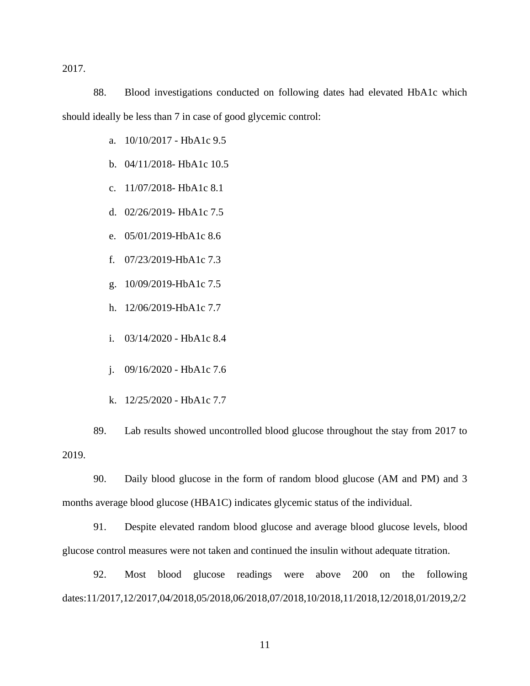2017.

88. Blood investigations conducted on following dates had elevated HbA1c which should ideally be less than 7 in case of good glycemic control:

- a. 10/10/2017 HbA1c 9.5
- b. 04/11/2018- HbA1c 10.5
- c. 11/07/2018- HbA1c 8.1
- d. 02/26/2019- HbA1c 7.5
- e. 05/01/2019-HbA1c 8.6
- f. 07/23/2019-HbA1c 7.3
- g. 10/09/2019-HbA1c 7.5
- h. 12/06/2019-HbA1c 7.7
- i. 03/14/2020 HbA1c 8.4
- j. 09/16/2020 HbA1c 7.6
- k. 12/25/2020 HbA1c 7.7

89. Lab results showed uncontrolled blood glucose throughout the stay from 2017 to 2019.

90. Daily blood glucose in the form of random blood glucose (AM and PM) and 3 months average blood glucose (HBA1C) indicates glycemic status of the individual.

91. Despite elevated random blood glucose and average blood glucose levels, blood glucose control measures were not taken and continued the insulin without adequate titration.

92. Most blood glucose readings were above 200 on the following dates:11/2017,12/2017,04/2018,05/2018,06/2018,07/2018,10/2018,11/2018,12/2018,01/2019,2/2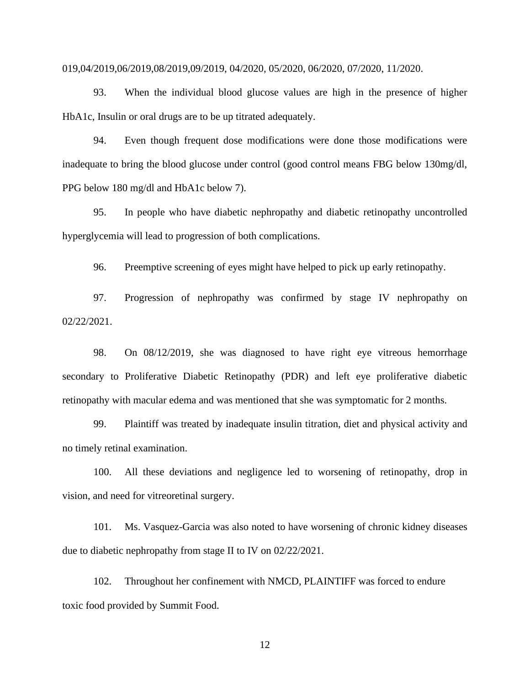#### 019,04/2019,06/2019,08/2019,09/2019, 04/2020, 05/2020, 06/2020, 07/2020, 11/2020.

93. When the individual blood glucose values are high in the presence of higher HbA1c, Insulin or oral drugs are to be up titrated adequately.

94. Even though frequent dose modifications were done those modifications were inadequate to bring the blood glucose under control (good control means FBG below 130mg/dl, PPG below 180 mg/dl and HbA1c below 7).

95. In people who have diabetic nephropathy and diabetic retinopathy uncontrolled hyperglycemia will lead to progression of both complications.

96. Preemptive screening of eyes might have helped to pick up early retinopathy.

97. Progression of nephropathy was confirmed by stage IV nephropathy on 02/22/2021.

98. On 08/12/2019, she was diagnosed to have right eye vitreous hemorrhage secondary to Proliferative Diabetic Retinopathy (PDR) and left eye proliferative diabetic retinopathy with macular edema and was mentioned that she was symptomatic for 2 months.

99. Plaintiff was treated by inadequate insulin titration, diet and physical activity and no timely retinal examination.

100. All these deviations and negligence led to worsening of retinopathy, drop in vision, and need for vitreoretinal surgery.

101. Ms. Vasquez-Garcia was also noted to have worsening of chronic kidney diseases due to diabetic nephropathy from stage II to IV on 02/22/2021.

102. Throughout her confinement with NMCD, PLAINTIFF was forced to endure toxic food provided by Summit Food.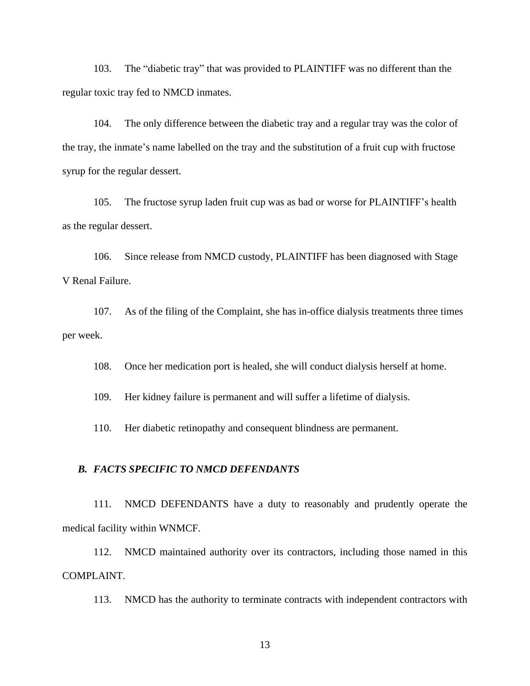103. The "diabetic tray" that was provided to PLAINTIFF was no different than the regular toxic tray fed to NMCD inmates.

104. The only difference between the diabetic tray and a regular tray was the color of the tray, the inmate's name labelled on the tray and the substitution of a fruit cup with fructose syrup for the regular dessert.

105. The fructose syrup laden fruit cup was as bad or worse for PLAINTIFF's health as the regular dessert.

106. Since release from NMCD custody, PLAINTIFF has been diagnosed with Stage V Renal Failure.

107. As of the filing of the Complaint, she has in-office dialysis treatments three times per week.

108. Once her medication port is healed, she will conduct dialysis herself at home.

109. Her kidney failure is permanent and will suffer a lifetime of dialysis.

110. Her diabetic retinopathy and consequent blindness are permanent.

#### *B. FACTS SPECIFIC TO NMCD DEFENDANTS*

111. NMCD DEFENDANTS have a duty to reasonably and prudently operate the medical facility within WNMCF.

112. NMCD maintained authority over its contractors, including those named in this COMPLAINT.

113. NMCD has the authority to terminate contracts with independent contractors with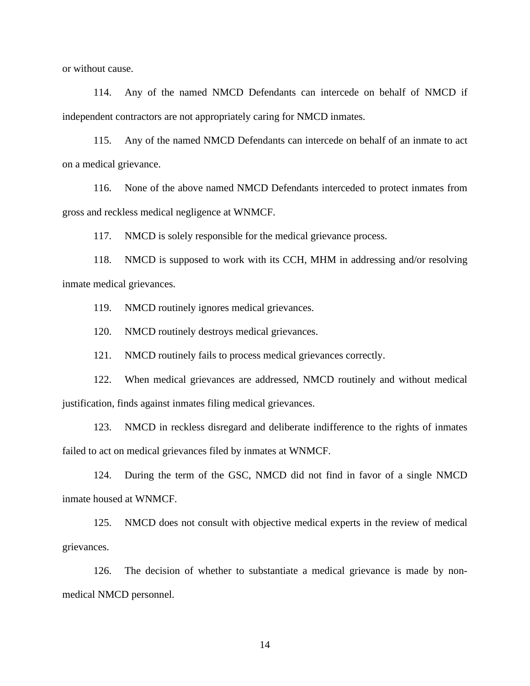or without cause.

114. Any of the named NMCD Defendants can intercede on behalf of NMCD if independent contractors are not appropriately caring for NMCD inmates.

115. Any of the named NMCD Defendants can intercede on behalf of an inmate to act on a medical grievance.

116. None of the above named NMCD Defendants interceded to protect inmates from gross and reckless medical negligence at WNMCF.

117. NMCD is solely responsible for the medical grievance process.

118. NMCD is supposed to work with its CCH, MHM in addressing and/or resolving inmate medical grievances.

119. NMCD routinely ignores medical grievances.

120. NMCD routinely destroys medical grievances.

121. NMCD routinely fails to process medical grievances correctly.

122. When medical grievances are addressed, NMCD routinely and without medical justification, finds against inmates filing medical grievances.

123. NMCD in reckless disregard and deliberate indifference to the rights of inmates failed to act on medical grievances filed by inmates at WNMCF.

124. During the term of the GSC, NMCD did not find in favor of a single NMCD inmate housed at WNMCF.

125. NMCD does not consult with objective medical experts in the review of medical grievances.

126. The decision of whether to substantiate a medical grievance is made by nonmedical NMCD personnel.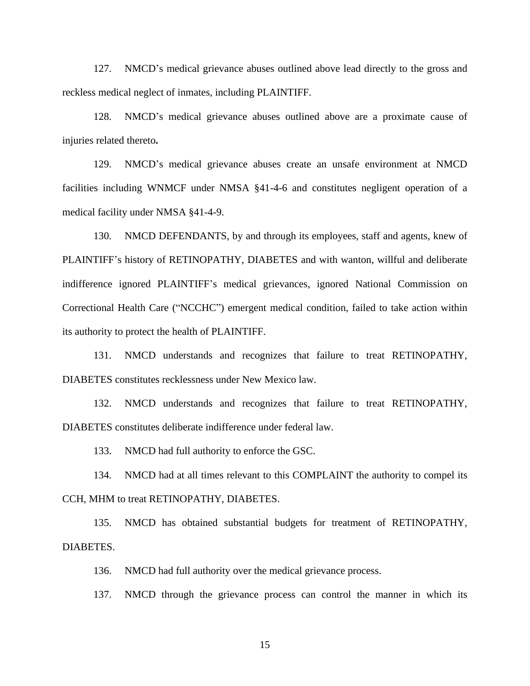127. NMCD's medical grievance abuses outlined above lead directly to the gross and reckless medical neglect of inmates, including PLAINTIFF.

128. NMCD's medical grievance abuses outlined above are a proximate cause of injuries related thereto**.**

129. NMCD's medical grievance abuses create an unsafe environment at NMCD facilities including WNMCF under NMSA §41-4-6 and constitutes negligent operation of a medical facility under NMSA §41-4-9.

130. NMCD DEFENDANTS, by and through its employees, staff and agents, knew of PLAINTIFF's history of RETINOPATHY, DIABETES and with wanton, willful and deliberate indifference ignored PLAINTIFF's medical grievances, ignored National Commission on Correctional Health Care ("NCCHC") emergent medical condition, failed to take action within its authority to protect the health of PLAINTIFF.

131. NMCD understands and recognizes that failure to treat RETINOPATHY, DIABETES constitutes recklessness under New Mexico law.

132. NMCD understands and recognizes that failure to treat RETINOPATHY, DIABETES constitutes deliberate indifference under federal law.

133. NMCD had full authority to enforce the GSC.

134. NMCD had at all times relevant to this COMPLAINT the authority to compel its CCH, MHM to treat RETINOPATHY, DIABETES.

135. NMCD has obtained substantial budgets for treatment of RETINOPATHY, DIABETES.

136. NMCD had full authority over the medical grievance process.

137. NMCD through the grievance process can control the manner in which its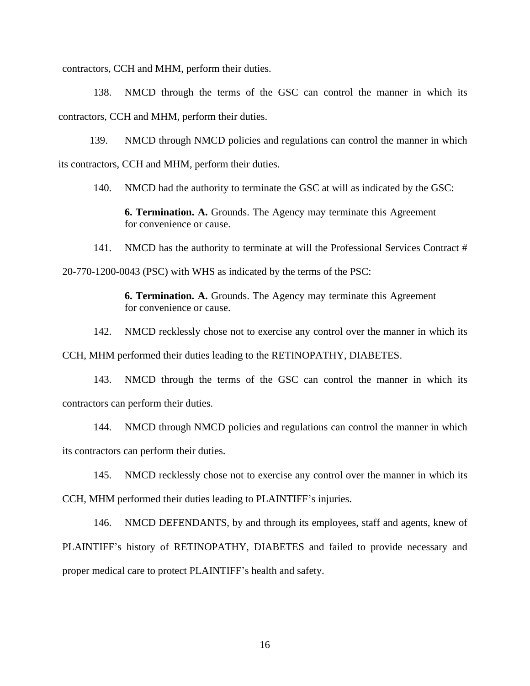contractors, CCH and MHM, perform their duties.

138. NMCD through the terms of the GSC can control the manner in which its contractors, CCH and MHM, perform their duties.

139. NMCD through NMCD policies and regulations can control the manner in which its contractors, CCH and MHM, perform their duties.

140. NMCD had the authority to terminate the GSC at will as indicated by the GSC:

**6. Termination. A.** Grounds. The Agency may terminate this Agreement for convenience or cause.

141. NMCD has the authority to terminate at will the Professional Services Contract # 20-770-1200-0043 (PSC) with WHS as indicated by the terms of the PSC:

> **6. Termination. A.** Grounds. The Agency may terminate this Agreement for convenience or cause.

142. NMCD recklessly chose not to exercise any control over the manner in which its

CCH, MHM performed their duties leading to the RETINOPATHY, DIABETES.

143. NMCD through the terms of the GSC can control the manner in which its contractors can perform their duties.

144. NMCD through NMCD policies and regulations can control the manner in which its contractors can perform their duties.

145. NMCD recklessly chose not to exercise any control over the manner in which its CCH, MHM performed their duties leading to PLAINTIFF's injuries.

146. NMCD DEFENDANTS, by and through its employees, staff and agents, knew of PLAINTIFF's history of RETINOPATHY, DIABETES and failed to provide necessary and proper medical care to protect PLAINTIFF's health and safety.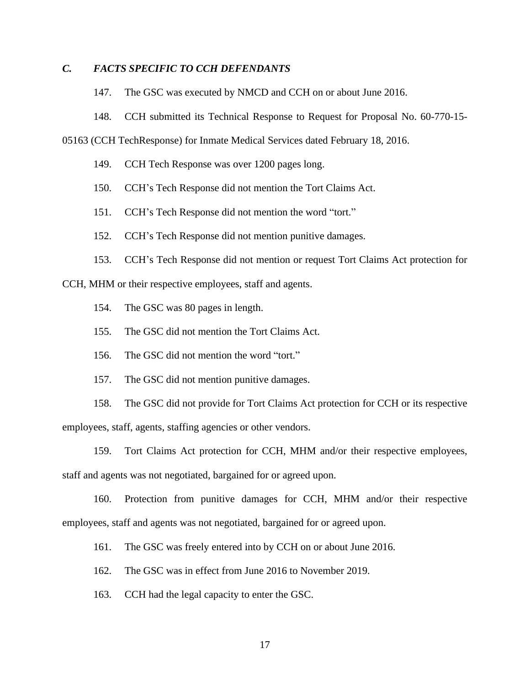# *C. FACTS SPECIFIC TO CCH DEFENDANTS*

147. The GSC was executed by NMCD and CCH on or about June 2016.

148. CCH submitted its Technical Response to Request for Proposal No. 60-770-15-

05163 (CCH TechResponse) for Inmate Medical Services dated February 18, 2016.

- 149. CCH Tech Response was over 1200 pages long.
- 150. CCH's Tech Response did not mention the Tort Claims Act.
- 151. CCH's Tech Response did not mention the word "tort."
- 152. CCH's Tech Response did not mention punitive damages.
- 153. CCH's Tech Response did not mention or request Tort Claims Act protection for

CCH, MHM or their respective employees, staff and agents.

- 154. The GSC was 80 pages in length.
- 155. The GSC did not mention the Tort Claims Act.
- 156. The GSC did not mention the word "tort."
- 157. The GSC did not mention punitive damages.

158. The GSC did not provide for Tort Claims Act protection for CCH or its respective employees, staff, agents, staffing agencies or other vendors.

159. Tort Claims Act protection for CCH, MHM and/or their respective employees, staff and agents was not negotiated, bargained for or agreed upon.

160. Protection from punitive damages for CCH, MHM and/or their respective employees, staff and agents was not negotiated, bargained for or agreed upon.

161. The GSC was freely entered into by CCH on or about June 2016.

- 162. The GSC was in effect from June 2016 to November 2019.
- 163. CCH had the legal capacity to enter the GSC.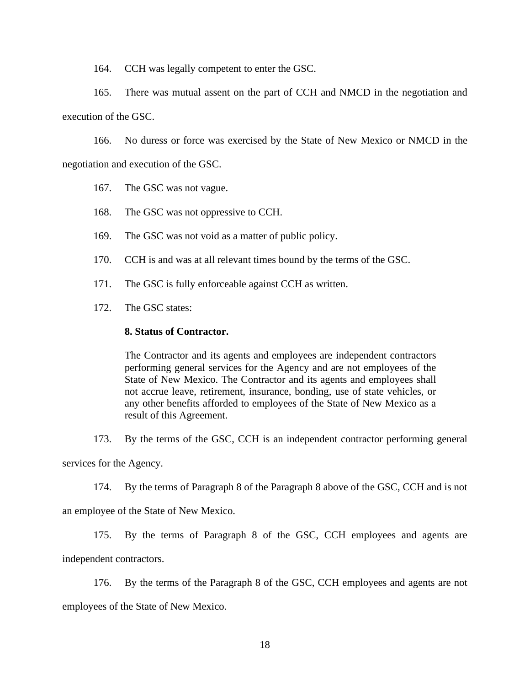164. CCH was legally competent to enter the GSC.

165. There was mutual assent on the part of CCH and NMCD in the negotiation and execution of the GSC.

166. No duress or force was exercised by the State of New Mexico or NMCD in the negotiation and execution of the GSC.

167. The GSC was not vague.

168. The GSC was not oppressive to CCH.

169. The GSC was not void as a matter of public policy.

170. CCH is and was at all relevant times bound by the terms of the GSC.

171. The GSC is fully enforceable against CCH as written.

172. The GSC states:

#### **8. Status of Contractor.**

The Contractor and its agents and employees are independent contractors performing general services for the Agency and are not employees of the State of New Mexico. The Contractor and its agents and employees shall not accrue leave, retirement, insurance, bonding, use of state vehicles, or any other benefits afforded to employees of the State of New Mexico as a result of this Agreement.

173. By the terms of the GSC, CCH is an independent contractor performing general services for the Agency.

174. By the terms of Paragraph 8 of the Paragraph 8 above of the GSC, CCH and is not

an employee of the State of New Mexico.

175. By the terms of Paragraph 8 of the GSC, CCH employees and agents are independent contractors.

176. By the terms of the Paragraph 8 of the GSC, CCH employees and agents are not employees of the State of New Mexico.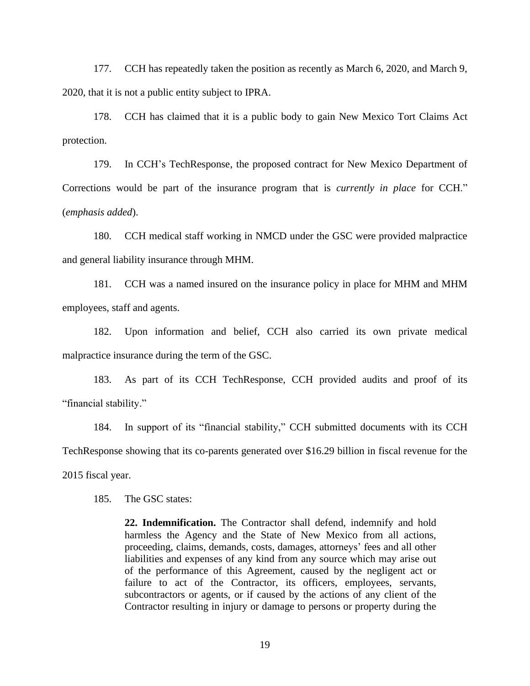177. CCH has repeatedly taken the position as recently as March 6, 2020, and March 9, 2020, that it is not a public entity subject to IPRA.

178. CCH has claimed that it is a public body to gain New Mexico Tort Claims Act protection.

179. In CCH's TechResponse, the proposed contract for New Mexico Department of Corrections would be part of the insurance program that is *currently in place* for CCH." (*emphasis added*).

180. CCH medical staff working in NMCD under the GSC were provided malpractice and general liability insurance through MHM.

181. CCH was a named insured on the insurance policy in place for MHM and MHM employees, staff and agents.

182. Upon information and belief, CCH also carried its own private medical malpractice insurance during the term of the GSC.

183. As part of its CCH TechResponse, CCH provided audits and proof of its "financial stability."

184. In support of its "financial stability," CCH submitted documents with its CCH TechResponse showing that its co-parents generated over \$16.29 billion in fiscal revenue for the 2015 fiscal year.

185. The GSC states:

**22. Indemnification.** The Contractor shall defend, indemnify and hold harmless the Agency and the State of New Mexico from all actions, proceeding, claims, demands, costs, damages, attorneys' fees and all other liabilities and expenses of any kind from any source which may arise out of the performance of this Agreement, caused by the negligent act or failure to act of the Contractor, its officers, employees, servants, subcontractors or agents, or if caused by the actions of any client of the Contractor resulting in injury or damage to persons or property during the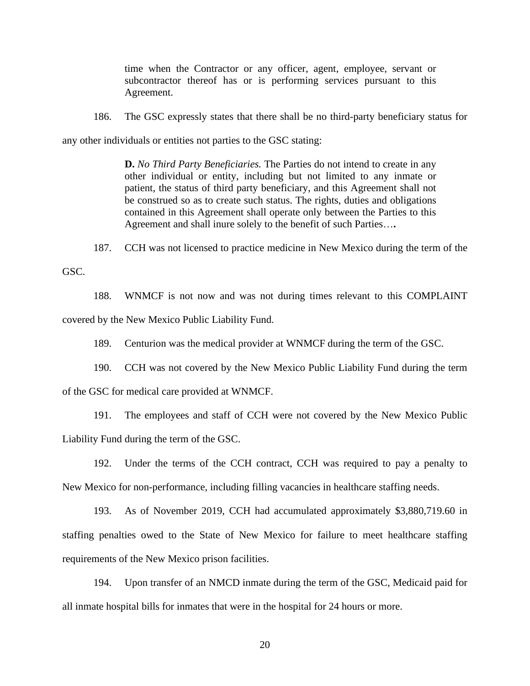time when the Contractor or any officer, agent, employee, servant or subcontractor thereof has or is performing services pursuant to this Agreement.

186. The GSC expressly states that there shall be no third-party beneficiary status for

any other individuals or entities not parties to the GSC stating:

**D.** *No Third Party Beneficiaries.* The Parties do not intend to create in any other individual or entity, including but not limited to any inmate or patient, the status of third party beneficiary, and this Agreement shall not be construed so as to create such status. The rights, duties and obligations contained in this Agreement shall operate only between the Parties to this Agreement and shall inure solely to the benefit of such Parties…**.**

187. CCH was not licensed to practice medicine in New Mexico during the term of the

GSC.

188. WNMCF is not now and was not during times relevant to this COMPLAINT covered by the New Mexico Public Liability Fund.

189. Centurion was the medical provider at WNMCF during the term of the GSC.

190. CCH was not covered by the New Mexico Public Liability Fund during the term

of the GSC for medical care provided at WNMCF.

191. The employees and staff of CCH were not covered by the New Mexico Public Liability Fund during the term of the GSC.

192. Under the terms of the CCH contract, CCH was required to pay a penalty to New Mexico for non-performance, including filling vacancies in healthcare staffing needs.

193. As of November 2019, CCH had accumulated approximately \$3,880,719.60 in staffing penalties owed to the State of New Mexico for failure to meet healthcare staffing requirements of the New Mexico prison facilities.

194. Upon transfer of an NMCD inmate during the term of the GSC, Medicaid paid for all inmate hospital bills for inmates that were in the hospital for 24 hours or more.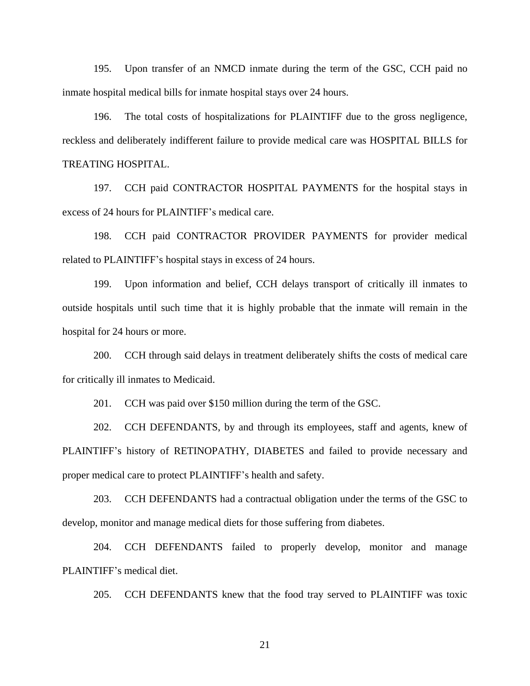195. Upon transfer of an NMCD inmate during the term of the GSC, CCH paid no inmate hospital medical bills for inmate hospital stays over 24 hours.

196. The total costs of hospitalizations for PLAINTIFF due to the gross negligence, reckless and deliberately indifferent failure to provide medical care was HOSPITAL BILLS for TREATING HOSPITAL.

197. CCH paid CONTRACTOR HOSPITAL PAYMENTS for the hospital stays in excess of 24 hours for PLAINTIFF's medical care.

198. CCH paid CONTRACTOR PROVIDER PAYMENTS for provider medical related to PLAINTIFF's hospital stays in excess of 24 hours.

199. Upon information and belief, CCH delays transport of critically ill inmates to outside hospitals until such time that it is highly probable that the inmate will remain in the hospital for 24 hours or more.

200. CCH through said delays in treatment deliberately shifts the costs of medical care for critically ill inmates to Medicaid.

201. CCH was paid over \$150 million during the term of the GSC.

202. CCH DEFENDANTS, by and through its employees, staff and agents, knew of PLAINTIFF's history of RETINOPATHY, DIABETES and failed to provide necessary and proper medical care to protect PLAINTIFF's health and safety.

203. CCH DEFENDANTS had a contractual obligation under the terms of the GSC to develop, monitor and manage medical diets for those suffering from diabetes.

204. CCH DEFENDANTS failed to properly develop, monitor and manage PLAINTIFF's medical diet.

205. CCH DEFENDANTS knew that the food tray served to PLAINTIFF was toxic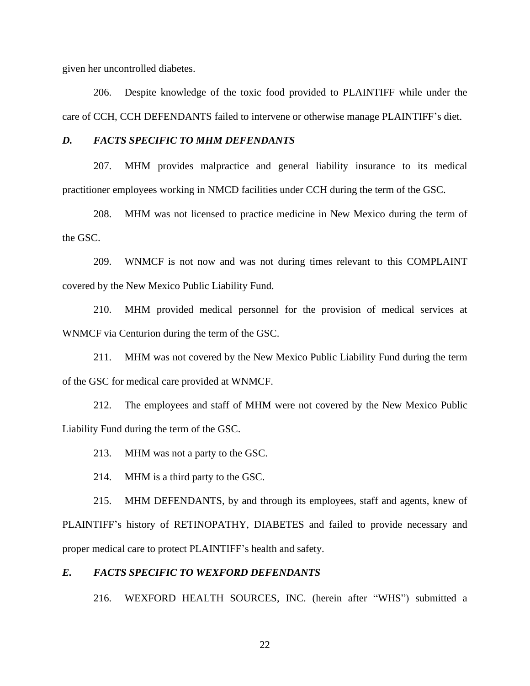given her uncontrolled diabetes.

206. Despite knowledge of the toxic food provided to PLAINTIFF while under the care of CCH, CCH DEFENDANTS failed to intervene or otherwise manage PLAINTIFF's diet.

## *D. FACTS SPECIFIC TO MHM DEFENDANTS*

207. MHM provides malpractice and general liability insurance to its medical practitioner employees working in NMCD facilities under CCH during the term of the GSC.

208. MHM was not licensed to practice medicine in New Mexico during the term of the GSC.

209. WNMCF is not now and was not during times relevant to this COMPLAINT covered by the New Mexico Public Liability Fund.

210. MHM provided medical personnel for the provision of medical services at WNMCF via Centurion during the term of the GSC.

211. MHM was not covered by the New Mexico Public Liability Fund during the term of the GSC for medical care provided at WNMCF.

212. The employees and staff of MHM were not covered by the New Mexico Public Liability Fund during the term of the GSC.

213. MHM was not a party to the GSC.

214. MHM is a third party to the GSC.

215. MHM DEFENDANTS, by and through its employees, staff and agents, knew of PLAINTIFF's history of RETINOPATHY, DIABETES and failed to provide necessary and proper medical care to protect PLAINTIFF's health and safety.

## *E. FACTS SPECIFIC TO WEXFORD DEFENDANTS*

216. WEXFORD HEALTH SOURCES, INC. (herein after "WHS") submitted a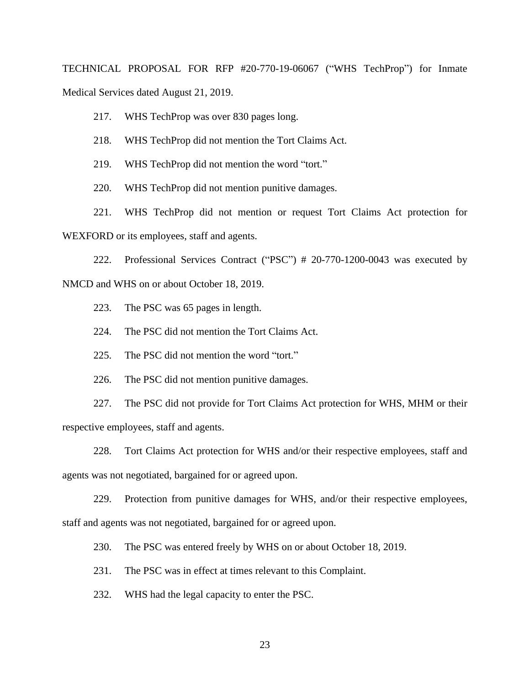TECHNICAL PROPOSAL FOR RFP #20-770-19-06067 ("WHS TechProp") for Inmate Medical Services dated August 21, 2019.

217. WHS TechProp was over 830 pages long.

218. WHS TechProp did not mention the Tort Claims Act.

219. WHS TechProp did not mention the word "tort."

220. WHS TechProp did not mention punitive damages.

221. WHS TechProp did not mention or request Tort Claims Act protection for WEXFORD or its employees, staff and agents.

222. Professional Services Contract ("PSC") # 20-770-1200-0043 was executed by NMCD and WHS on or about October 18, 2019.

223. The PSC was 65 pages in length.

224. The PSC did not mention the Tort Claims Act.

225. The PSC did not mention the word "tort."

226. The PSC did not mention punitive damages.

227. The PSC did not provide for Tort Claims Act protection for WHS, MHM or their respective employees, staff and agents.

228. Tort Claims Act protection for WHS and/or their respective employees, staff and agents was not negotiated, bargained for or agreed upon.

229. Protection from punitive damages for WHS, and/or their respective employees, staff and agents was not negotiated, bargained for or agreed upon.

230. The PSC was entered freely by WHS on or about October 18, 2019.

231. The PSC was in effect at times relevant to this Complaint.

232. WHS had the legal capacity to enter the PSC.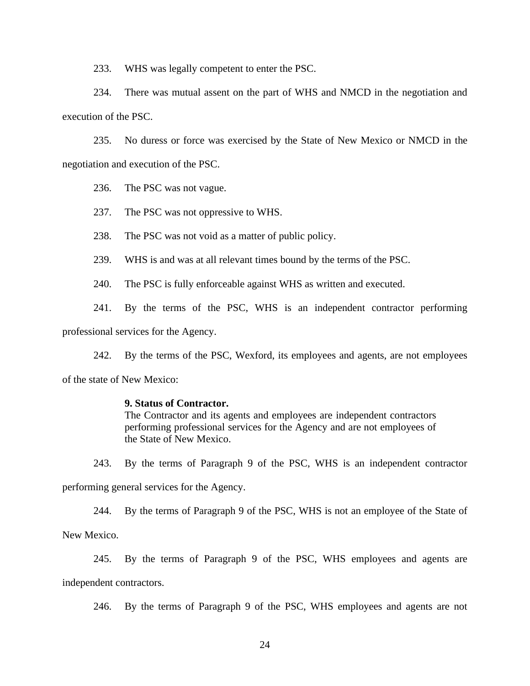233. WHS was legally competent to enter the PSC.

234. There was mutual assent on the part of WHS and NMCD in the negotiation and execution of the PSC.

235. No duress or force was exercised by the State of New Mexico or NMCD in the negotiation and execution of the PSC.

236. The PSC was not vague.

237. The PSC was not oppressive to WHS.

238. The PSC was not void as a matter of public policy.

239. WHS is and was at all relevant times bound by the terms of the PSC.

240. The PSC is fully enforceable against WHS as written and executed.

241. By the terms of the PSC, WHS is an independent contractor performing

professional services for the Agency.

242. By the terms of the PSC, Wexford, its employees and agents, are not employees of the state of New Mexico:

#### **9. Status of Contractor.**

The Contractor and its agents and employees are independent contractors performing professional services for the Agency and are not employees of the State of New Mexico.

243. By the terms of Paragraph 9 of the PSC, WHS is an independent contractor

performing general services for the Agency.

244. By the terms of Paragraph 9 of the PSC, WHS is not an employee of the State of

New Mexico.

245. By the terms of Paragraph 9 of the PSC, WHS employees and agents are independent contractors.

246. By the terms of Paragraph 9 of the PSC, WHS employees and agents are not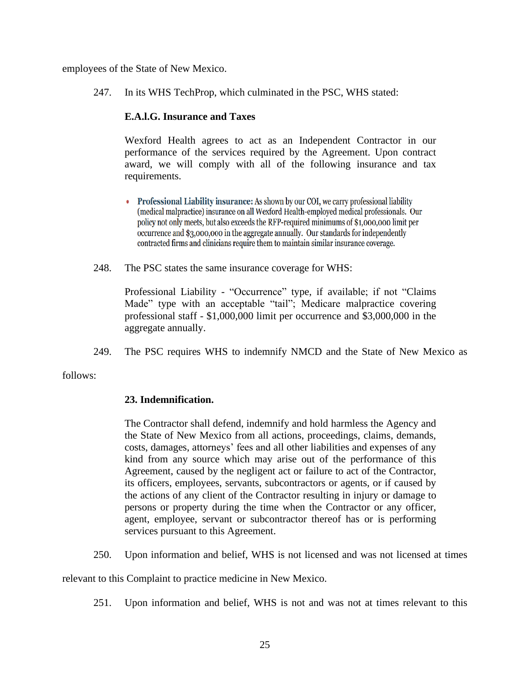employees of the State of New Mexico.

247. In its WHS TechProp, which culminated in the PSC, WHS stated:

## **E.A.l.G. Insurance and Taxes**

Wexford Health agrees to act as an Independent Contractor in our performance of the services required by the Agreement. Upon contract award, we will comply with all of the following insurance and tax requirements.

- Professional Liability insurance: As shown by our COI, we carry professional liability (medical malpractice) insurance on all Wexford Health-employed medical professionals. Our policy not only meets, but also exceeds the RFP-required minimums of \$1,000,000 limit per occurrence and \$3,000,000 in the aggregate annually. Our standards for independently contracted firms and clinicians require them to maintain similar insurance coverage.
- 248. The PSC states the same insurance coverage for WHS:

Professional Liability - "Occurrence" type, if available; if not "Claims Made" type with an acceptable "tail"; Medicare malpractice covering professional staff - \$1,000,000 limit per occurrence and \$3,000,000 in the aggregate annually.

249. The PSC requires WHS to indemnify NMCD and the State of New Mexico as

follows:

## **23. Indemnification.**

The Contractor shall defend, indemnify and hold harmless the Agency and the State of New Mexico from all actions, proceedings, claims, demands, costs, damages, attorneys' fees and all other liabilities and expenses of any kind from any source which may arise out of the performance of this Agreement, caused by the negligent act or failure to act of the Contractor, its officers, employees, servants, subcontractors or agents, or if caused by the actions of any client of the Contractor resulting in injury or damage to persons or property during the time when the Contractor or any officer, agent, employee, servant or subcontractor thereof has or is performing services pursuant to this Agreement.

250. Upon information and belief, WHS is not licensed and was not licensed at times

relevant to this Complaint to practice medicine in New Mexico.

251. Upon information and belief, WHS is not and was not at times relevant to this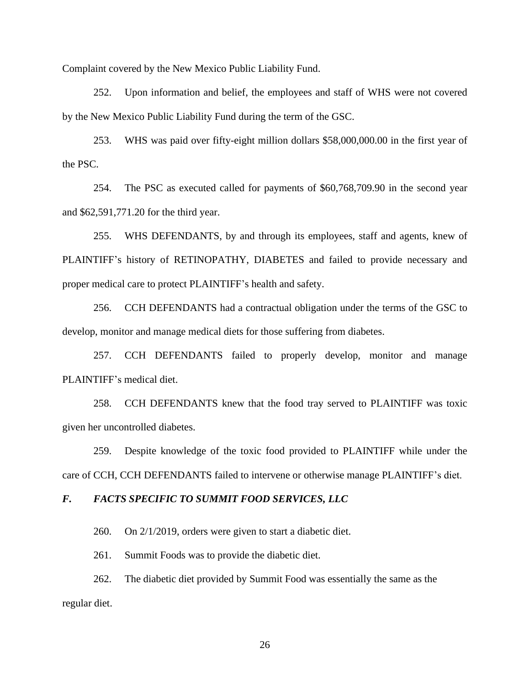Complaint covered by the New Mexico Public Liability Fund.

252. Upon information and belief, the employees and staff of WHS were not covered by the New Mexico Public Liability Fund during the term of the GSC.

253. WHS was paid over fifty-eight million dollars \$58,000,000.00 in the first year of the PSC.

254. The PSC as executed called for payments of \$60,768,709.90 in the second year and \$62,591,771.20 for the third year.

255. WHS DEFENDANTS, by and through its employees, staff and agents, knew of PLAINTIFF's history of RETINOPATHY, DIABETES and failed to provide necessary and proper medical care to protect PLAINTIFF's health and safety.

256. CCH DEFENDANTS had a contractual obligation under the terms of the GSC to develop, monitor and manage medical diets for those suffering from diabetes.

257. CCH DEFENDANTS failed to properly develop, monitor and manage PLAINTIFF's medical diet.

258. CCH DEFENDANTS knew that the food tray served to PLAINTIFF was toxic given her uncontrolled diabetes.

259. Despite knowledge of the toxic food provided to PLAINTIFF while under the care of CCH, CCH DEFENDANTS failed to intervene or otherwise manage PLAINTIFF's diet.

## *F. FACTS SPECIFIC TO SUMMIT FOOD SERVICES, LLC*

260. On 2/1/2019, orders were given to start a diabetic diet.

261. Summit Foods was to provide the diabetic diet.

262. The diabetic diet provided by Summit Food was essentially the same as the regular diet.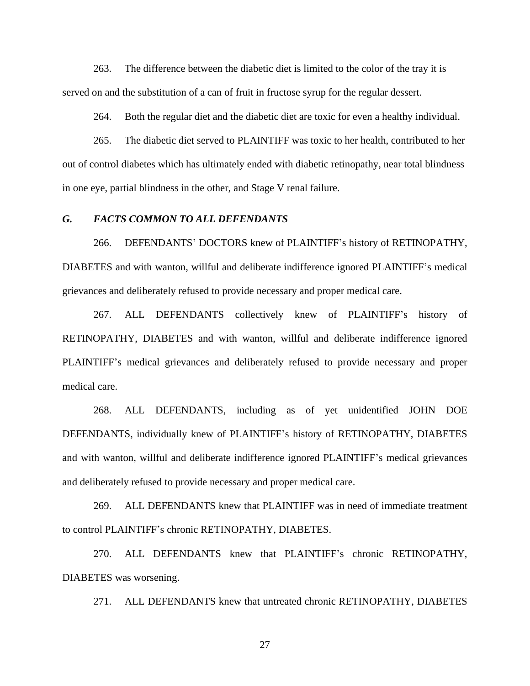263. The difference between the diabetic diet is limited to the color of the tray it is served on and the substitution of a can of fruit in fructose syrup for the regular dessert.

264. Both the regular diet and the diabetic diet are toxic for even a healthy individual.

265. The diabetic diet served to PLAINTIFF was toxic to her health, contributed to her out of control diabetes which has ultimately ended with diabetic retinopathy, near total blindness in one eye, partial blindness in the other, and Stage V renal failure.

#### *G. FACTS COMMON TO ALL DEFENDANTS*

266. DEFENDANTS' DOCTORS knew of PLAINTIFF's history of RETINOPATHY, DIABETES and with wanton, willful and deliberate indifference ignored PLAINTIFF's medical grievances and deliberately refused to provide necessary and proper medical care.

267. ALL DEFENDANTS collectively knew of PLAINTIFF's history of RETINOPATHY, DIABETES and with wanton, willful and deliberate indifference ignored PLAINTIFF's medical grievances and deliberately refused to provide necessary and proper medical care.

268. ALL DEFENDANTS, including as of yet unidentified JOHN DOE DEFENDANTS, individually knew of PLAINTIFF's history of RETINOPATHY, DIABETES and with wanton, willful and deliberate indifference ignored PLAINTIFF's medical grievances and deliberately refused to provide necessary and proper medical care.

269. ALL DEFENDANTS knew that PLAINTIFF was in need of immediate treatment to control PLAINTIFF's chronic RETINOPATHY, DIABETES.

270. ALL DEFENDANTS knew that PLAINTIFF's chronic RETINOPATHY, DIABETES was worsening.

271. ALL DEFENDANTS knew that untreated chronic RETINOPATHY, DIABETES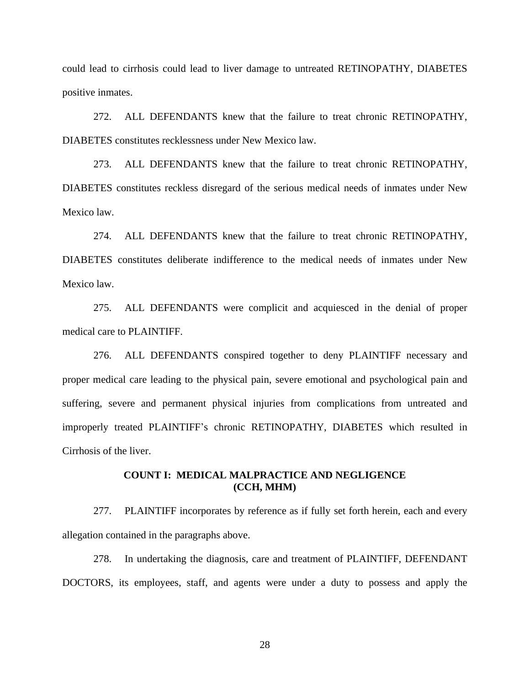could lead to cirrhosis could lead to liver damage to untreated RETINOPATHY, DIABETES positive inmates.

272. ALL DEFENDANTS knew that the failure to treat chronic RETINOPATHY, DIABETES constitutes recklessness under New Mexico law.

273. ALL DEFENDANTS knew that the failure to treat chronic RETINOPATHY, DIABETES constitutes reckless disregard of the serious medical needs of inmates under New Mexico law.

274. ALL DEFENDANTS knew that the failure to treat chronic RETINOPATHY, DIABETES constitutes deliberate indifference to the medical needs of inmates under New Mexico law.

275. ALL DEFENDANTS were complicit and acquiesced in the denial of proper medical care to PLAINTIFF.

276. ALL DEFENDANTS conspired together to deny PLAINTIFF necessary and proper medical care leading to the physical pain, severe emotional and psychological pain and suffering, severe and permanent physical injuries from complications from untreated and improperly treated PLAINTIFF's chronic RETINOPATHY, DIABETES which resulted in Cirrhosis of the liver.

### **COUNT I: MEDICAL MALPRACTICE AND NEGLIGENCE (CCH, MHM)**

277. PLAINTIFF incorporates by reference as if fully set forth herein, each and every allegation contained in the paragraphs above.

278. In undertaking the diagnosis, care and treatment of PLAINTIFF, DEFENDANT DOCTORS, its employees, staff, and agents were under a duty to possess and apply the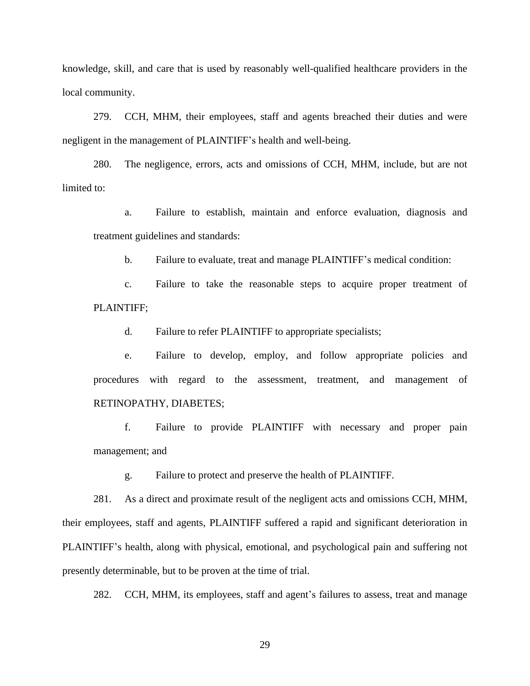knowledge, skill, and care that is used by reasonably well-qualified healthcare providers in the local community.

279. CCH, MHM, their employees, staff and agents breached their duties and were negligent in the management of PLAINTIFF's health and well-being.

280. The negligence, errors, acts and omissions of CCH, MHM, include, but are not limited to:

a. Failure to establish, maintain and enforce evaluation, diagnosis and treatment guidelines and standards:

b. Failure to evaluate, treat and manage PLAINTIFF's medical condition:

c. Failure to take the reasonable steps to acquire proper treatment of PLAINTIFF;

d. Failure to refer PLAINTIFF to appropriate specialists;

e. Failure to develop, employ, and follow appropriate policies and procedures with regard to the assessment, treatment, and management of RETINOPATHY, DIABETES;

f. Failure to provide PLAINTIFF with necessary and proper pain management; and

g. Failure to protect and preserve the health of PLAINTIFF.

281. As a direct and proximate result of the negligent acts and omissions CCH, MHM, their employees, staff and agents, PLAINTIFF suffered a rapid and significant deterioration in PLAINTIFF's health, along with physical, emotional, and psychological pain and suffering not presently determinable, but to be proven at the time of trial.

282. CCH, MHM, its employees, staff and agent's failures to assess, treat and manage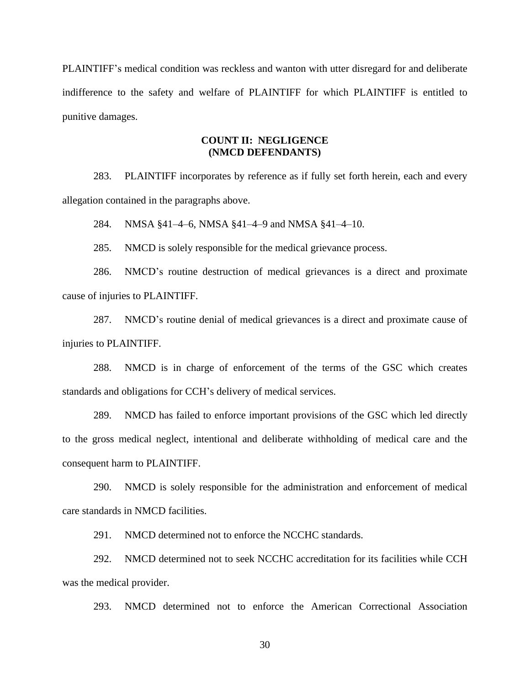PLAINTIFF's medical condition was reckless and wanton with utter disregard for and deliberate indifference to the safety and welfare of PLAINTIFF for which PLAINTIFF is entitled to punitive damages.

## **COUNT II: NEGLIGENCE (NMCD DEFENDANTS)**

283. PLAINTIFF incorporates by reference as if fully set forth herein, each and every allegation contained in the paragraphs above.

284. NMSA §41–4–6, NMSA §41–4–9 and NMSA §41–4–10.

285. NMCD is solely responsible for the medical grievance process.

286. NMCD's routine destruction of medical grievances is a direct and proximate cause of injuries to PLAINTIFF.

287. NMCD's routine denial of medical grievances is a direct and proximate cause of injuries to PLAINTIFF.

288. NMCD is in charge of enforcement of the terms of the GSC which creates standards and obligations for CCH's delivery of medical services.

289. NMCD has failed to enforce important provisions of the GSC which led directly to the gross medical neglect, intentional and deliberate withholding of medical care and the consequent harm to PLAINTIFF.

290. NMCD is solely responsible for the administration and enforcement of medical care standards in NMCD facilities.

291. NMCD determined not to enforce the NCCHC standards.

292. NMCD determined not to seek NCCHC accreditation for its facilities while CCH was the medical provider.

293. NMCD determined not to enforce the American Correctional Association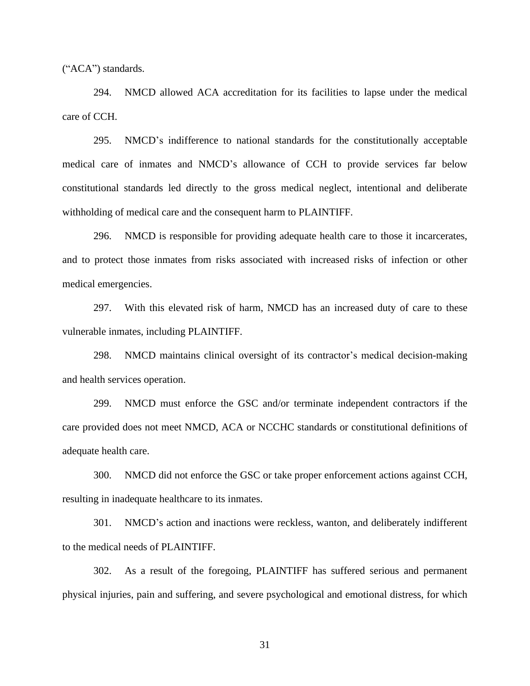("ACA") standards.

294. NMCD allowed ACA accreditation for its facilities to lapse under the medical care of CCH.

295. NMCD's indifference to national standards for the constitutionally acceptable medical care of inmates and NMCD's allowance of CCH to provide services far below constitutional standards led directly to the gross medical neglect, intentional and deliberate withholding of medical care and the consequent harm to PLAINTIFF.

296. NMCD is responsible for providing adequate health care to those it incarcerates, and to protect those inmates from risks associated with increased risks of infection or other medical emergencies.

297. With this elevated risk of harm, NMCD has an increased duty of care to these vulnerable inmates, including PLAINTIFF.

298. NMCD maintains clinical oversight of its contractor's medical decision-making and health services operation.

299. NMCD must enforce the GSC and/or terminate independent contractors if the care provided does not meet NMCD, ACA or NCCHC standards or constitutional definitions of adequate health care.

300. NMCD did not enforce the GSC or take proper enforcement actions against CCH, resulting in inadequate healthcare to its inmates.

301. NMCD's action and inactions were reckless, wanton, and deliberately indifferent to the medical needs of PLAINTIFF.

302. As a result of the foregoing, PLAINTIFF has suffered serious and permanent physical injuries, pain and suffering, and severe psychological and emotional distress, for which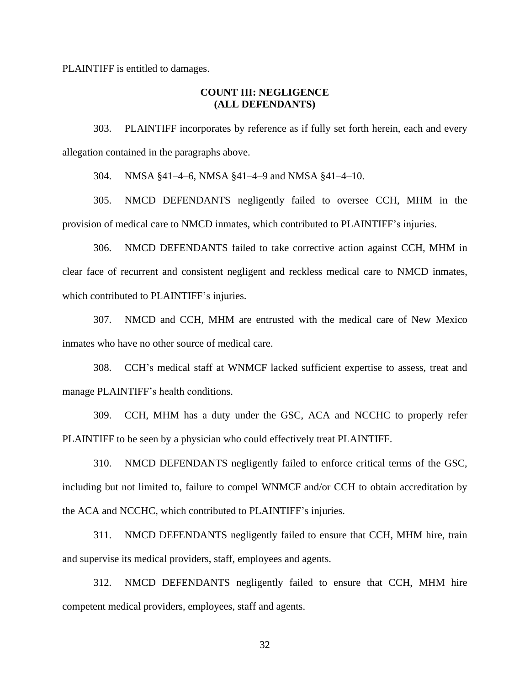PLAINTIFF is entitled to damages.

## **COUNT III: NEGLIGENCE (ALL DEFENDANTS)**

303. PLAINTIFF incorporates by reference as if fully set forth herein, each and every allegation contained in the paragraphs above.

304. NMSA §41–4–6, NMSA §41–4–9 and NMSA §41–4–10.

305. NMCD DEFENDANTS negligently failed to oversee CCH, MHM in the provision of medical care to NMCD inmates, which contributed to PLAINTIFF's injuries.

306. NMCD DEFENDANTS failed to take corrective action against CCH, MHM in clear face of recurrent and consistent negligent and reckless medical care to NMCD inmates, which contributed to PLAINTIFF's injuries.

307. NMCD and CCH, MHM are entrusted with the medical care of New Mexico inmates who have no other source of medical care.

308. CCH's medical staff at WNMCF lacked sufficient expertise to assess, treat and manage PLAINTIFF's health conditions.

309. CCH, MHM has a duty under the GSC, ACA and NCCHC to properly refer PLAINTIFF to be seen by a physician who could effectively treat PLAINTIFF.

310. NMCD DEFENDANTS negligently failed to enforce critical terms of the GSC, including but not limited to, failure to compel WNMCF and/or CCH to obtain accreditation by the ACA and NCCHC, which contributed to PLAINTIFF's injuries.

311. NMCD DEFENDANTS negligently failed to ensure that CCH, MHM hire, train and supervise its medical providers, staff, employees and agents.

312. NMCD DEFENDANTS negligently failed to ensure that CCH, MHM hire competent medical providers, employees, staff and agents.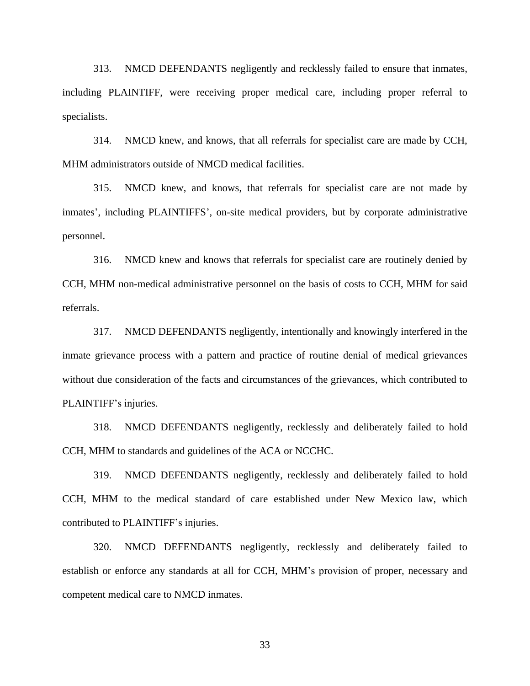313. NMCD DEFENDANTS negligently and recklessly failed to ensure that inmates, including PLAINTIFF, were receiving proper medical care, including proper referral to specialists.

314. NMCD knew, and knows, that all referrals for specialist care are made by CCH, MHM administrators outside of NMCD medical facilities.

315. NMCD knew, and knows, that referrals for specialist care are not made by inmates', including PLAINTIFFS', on-site medical providers, but by corporate administrative personnel.

316. NMCD knew and knows that referrals for specialist care are routinely denied by CCH, MHM non-medical administrative personnel on the basis of costs to CCH, MHM for said referrals.

317. NMCD DEFENDANTS negligently, intentionally and knowingly interfered in the inmate grievance process with a pattern and practice of routine denial of medical grievances without due consideration of the facts and circumstances of the grievances, which contributed to PLAINTIFF's injuries.

318. NMCD DEFENDANTS negligently, recklessly and deliberately failed to hold CCH, MHM to standards and guidelines of the ACA or NCCHC.

319. NMCD DEFENDANTS negligently, recklessly and deliberately failed to hold CCH, MHM to the medical standard of care established under New Mexico law, which contributed to PLAINTIFF's injuries.

320. NMCD DEFENDANTS negligently, recklessly and deliberately failed to establish or enforce any standards at all for CCH, MHM's provision of proper, necessary and competent medical care to NMCD inmates.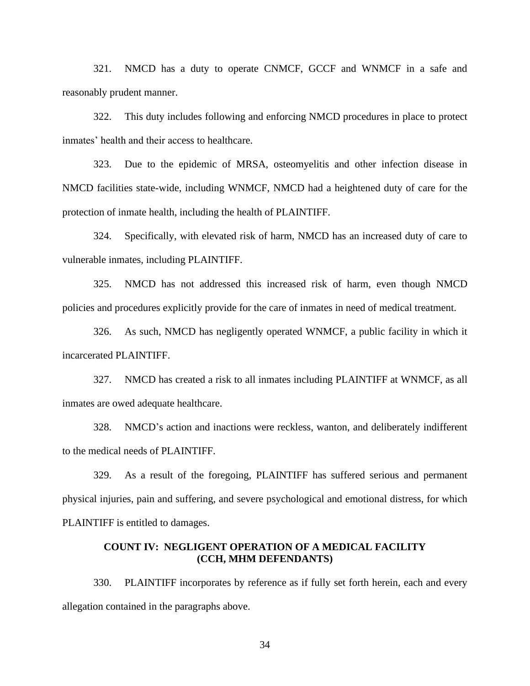321. NMCD has a duty to operate CNMCF, GCCF and WNMCF in a safe and reasonably prudent manner.

322. This duty includes following and enforcing NMCD procedures in place to protect inmates' health and their access to healthcare.

323. Due to the epidemic of MRSA, osteomyelitis and other infection disease in NMCD facilities state-wide, including WNMCF, NMCD had a heightened duty of care for the protection of inmate health, including the health of PLAINTIFF.

324. Specifically, with elevated risk of harm, NMCD has an increased duty of care to vulnerable inmates, including PLAINTIFF.

325. NMCD has not addressed this increased risk of harm, even though NMCD policies and procedures explicitly provide for the care of inmates in need of medical treatment.

326. As such, NMCD has negligently operated WNMCF, a public facility in which it incarcerated PLAINTIFF.

327. NMCD has created a risk to all inmates including PLAINTIFF at WNMCF, as all inmates are owed adequate healthcare.

328. NMCD's action and inactions were reckless, wanton, and deliberately indifferent to the medical needs of PLAINTIFF.

329. As a result of the foregoing, PLAINTIFF has suffered serious and permanent physical injuries, pain and suffering, and severe psychological and emotional distress, for which PLAINTIFF is entitled to damages.

### **COUNT IV: NEGLIGENT OPERATION OF A MEDICAL FACILITY (CCH, MHM DEFENDANTS)**

330. PLAINTIFF incorporates by reference as if fully set forth herein, each and every allegation contained in the paragraphs above.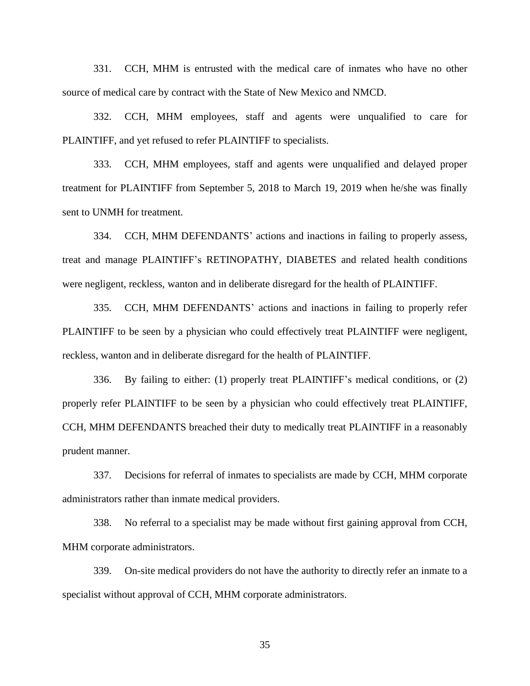331. CCH, MHM is entrusted with the medical care of inmates who have no other source of medical care by contract with the State of New Mexico and NMCD.

332. CCH, MHM employees, staff and agents were unqualified to care for PLAINTIFF, and yet refused to refer PLAINTIFF to specialists.

333. CCH, MHM employees, staff and agents were unqualified and delayed proper treatment for PLAINTIFF from September 5, 2018 to March 19, 2019 when he/she was finally sent to UNMH for treatment.

334. CCH, MHM DEFENDANTS' actions and inactions in failing to properly assess, treat and manage PLAINTIFF's RETINOPATHY, DIABETES and related health conditions were negligent, reckless, wanton and in deliberate disregard for the health of PLAINTIFF.

335. CCH, MHM DEFENDANTS' actions and inactions in failing to properly refer PLAINTIFF to be seen by a physician who could effectively treat PLAINTIFF were negligent, reckless, wanton and in deliberate disregard for the health of PLAINTIFF.

336. By failing to either: (1) properly treat PLAINTIFF's medical conditions, or (2) properly refer PLAINTIFF to be seen by a physician who could effectively treat PLAINTIFF, CCH, MHM DEFENDANTS breached their duty to medically treat PLAINTIFF in a reasonably prudent manner.

337. Decisions for referral of inmates to specialists are made by CCH, MHM corporate administrators rather than inmate medical providers.

338. No referral to a specialist may be made without first gaining approval from CCH, MHM corporate administrators.

339. On-site medical providers do not have the authority to directly refer an inmate to a specialist without approval of CCH, MHM corporate administrators.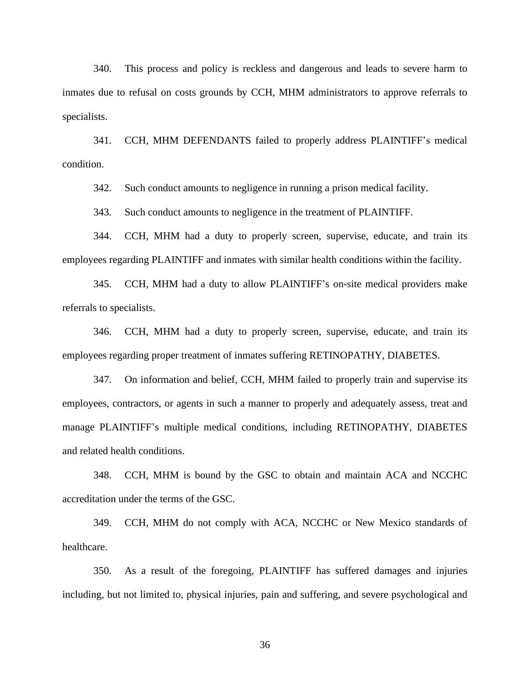340. This process and policy is reckless and dangerous and leads to severe harm to inmates due to refusal on costs grounds by CCH, MHM administrators to approve referrals to specialists.

341. CCH, MHM DEFENDANTS failed to properly address PLAINTIFF's medical condition.

342. Such conduct amounts to negligence in running a prison medical facility.

343. Such conduct amounts to negligence in the treatment of PLAINTIFF.

344. CCH, MHM had a duty to properly screen, supervise, educate, and train its employees regarding PLAINTIFF and inmates with similar health conditions within the facility.

345. CCH, MHM had a duty to allow PLAINTIFF's on-site medical providers make referrals to specialists.

346. CCH, MHM had a duty to properly screen, supervise, educate, and train its employees regarding proper treatment of inmates suffering RETINOPATHY, DIABETES.

347. On information and belief, CCH, MHM failed to properly train and supervise its employees, contractors, or agents in such a manner to properly and adequately assess, treat and manage PLAINTIFF's multiple medical conditions, including RETINOPATHY, DIABETES and related health conditions.

348. CCH, MHM is bound by the GSC to obtain and maintain ACA and NCCHC accreditation under the terms of the GSC.

349. CCH, MHM do not comply with ACA, NCCHC or New Mexico standards of healthcare.

350. As a result of the foregoing, PLAINTIFF has suffered damages and injuries including, but not limited to, physical injuries, pain and suffering, and severe psychological and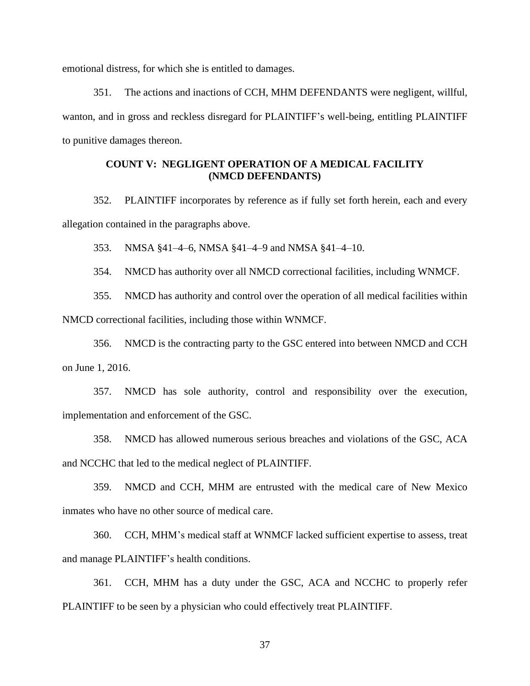emotional distress, for which she is entitled to damages.

351. The actions and inactions of CCH, MHM DEFENDANTS were negligent, willful, wanton, and in gross and reckless disregard for PLAINTIFF's well-being, entitling PLAINTIFF to punitive damages thereon.

## **COUNT V: NEGLIGENT OPERATION OF A MEDICAL FACILITY (NMCD DEFENDANTS)**

352. PLAINTIFF incorporates by reference as if fully set forth herein, each and every allegation contained in the paragraphs above.

353. NMSA §41–4–6, NMSA §41–4–9 and NMSA §41–4–10.

354. NMCD has authority over all NMCD correctional facilities, including WNMCF.

355. NMCD has authority and control over the operation of all medical facilities within NMCD correctional facilities, including those within WNMCF.

356. NMCD is the contracting party to the GSC entered into between NMCD and CCH on June 1, 2016.

357. NMCD has sole authority, control and responsibility over the execution, implementation and enforcement of the GSC.

358. NMCD has allowed numerous serious breaches and violations of the GSC, ACA and NCCHC that led to the medical neglect of PLAINTIFF.

359. NMCD and CCH, MHM are entrusted with the medical care of New Mexico inmates who have no other source of medical care.

360. CCH, MHM's medical staff at WNMCF lacked sufficient expertise to assess, treat and manage PLAINTIFF's health conditions.

361. CCH, MHM has a duty under the GSC, ACA and NCCHC to properly refer PLAINTIFF to be seen by a physician who could effectively treat PLAINTIFF.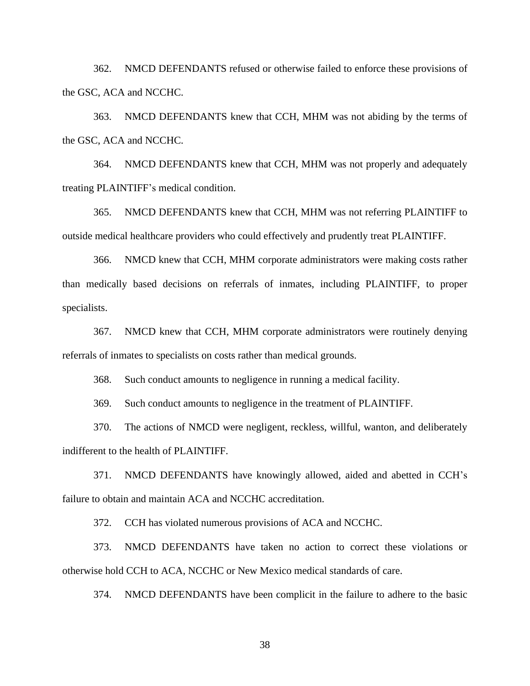362. NMCD DEFENDANTS refused or otherwise failed to enforce these provisions of the GSC, ACA and NCCHC.

363. NMCD DEFENDANTS knew that CCH, MHM was not abiding by the terms of the GSC, ACA and NCCHC.

364. NMCD DEFENDANTS knew that CCH, MHM was not properly and adequately treating PLAINTIFF's medical condition.

365. NMCD DEFENDANTS knew that CCH, MHM was not referring PLAINTIFF to outside medical healthcare providers who could effectively and prudently treat PLAINTIFF.

366. NMCD knew that CCH, MHM corporate administrators were making costs rather than medically based decisions on referrals of inmates, including PLAINTIFF, to proper specialists.

367. NMCD knew that CCH, MHM corporate administrators were routinely denying referrals of inmates to specialists on costs rather than medical grounds.

368. Such conduct amounts to negligence in running a medical facility.

369. Such conduct amounts to negligence in the treatment of PLAINTIFF.

370. The actions of NMCD were negligent, reckless, willful, wanton, and deliberately indifferent to the health of PLAINTIFF.

371. NMCD DEFENDANTS have knowingly allowed, aided and abetted in CCH's failure to obtain and maintain ACA and NCCHC accreditation.

372. CCH has violated numerous provisions of ACA and NCCHC.

373. NMCD DEFENDANTS have taken no action to correct these violations or otherwise hold CCH to ACA, NCCHC or New Mexico medical standards of care.

374. NMCD DEFENDANTS have been complicit in the failure to adhere to the basic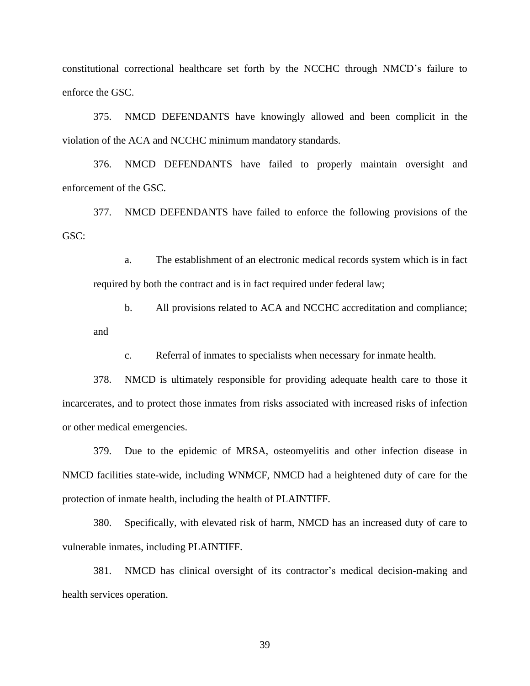constitutional correctional healthcare set forth by the NCCHC through NMCD's failure to enforce the GSC.

375. NMCD DEFENDANTS have knowingly allowed and been complicit in the violation of the ACA and NCCHC minimum mandatory standards.

376. NMCD DEFENDANTS have failed to properly maintain oversight and enforcement of the GSC.

377. NMCD DEFENDANTS have failed to enforce the following provisions of the GSC:

a. The establishment of an electronic medical records system which is in fact required by both the contract and is in fact required under federal law;

b. All provisions related to ACA and NCCHC accreditation and compliance; and

c. Referral of inmates to specialists when necessary for inmate health.

378. NMCD is ultimately responsible for providing adequate health care to those it incarcerates, and to protect those inmates from risks associated with increased risks of infection or other medical emergencies.

379. Due to the epidemic of MRSA, osteomyelitis and other infection disease in NMCD facilities state-wide, including WNMCF, NMCD had a heightened duty of care for the protection of inmate health, including the health of PLAINTIFF.

380. Specifically, with elevated risk of harm, NMCD has an increased duty of care to vulnerable inmates, including PLAINTIFF.

381. NMCD has clinical oversight of its contractor's medical decision-making and health services operation.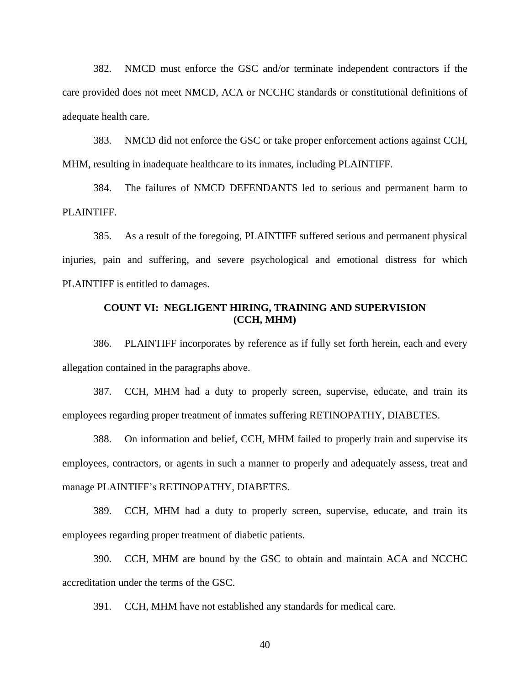382. NMCD must enforce the GSC and/or terminate independent contractors if the care provided does not meet NMCD, ACA or NCCHC standards or constitutional definitions of adequate health care.

383. NMCD did not enforce the GSC or take proper enforcement actions against CCH, MHM, resulting in inadequate healthcare to its inmates, including PLAINTIFF.

384. The failures of NMCD DEFENDANTS led to serious and permanent harm to PLAINTIFF.

385. As a result of the foregoing, PLAINTIFF suffered serious and permanent physical injuries, pain and suffering, and severe psychological and emotional distress for which PLAINTIFF is entitled to damages.

## **COUNT VI: NEGLIGENT HIRING, TRAINING AND SUPERVISION (CCH, MHM)**

386. PLAINTIFF incorporates by reference as if fully set forth herein, each and every allegation contained in the paragraphs above.

387. CCH, MHM had a duty to properly screen, supervise, educate, and train its employees regarding proper treatment of inmates suffering RETINOPATHY, DIABETES.

388. On information and belief, CCH, MHM failed to properly train and supervise its employees, contractors, or agents in such a manner to properly and adequately assess, treat and manage PLAINTIFF's RETINOPATHY, DIABETES.

389. CCH, MHM had a duty to properly screen, supervise, educate, and train its employees regarding proper treatment of diabetic patients.

390. CCH, MHM are bound by the GSC to obtain and maintain ACA and NCCHC accreditation under the terms of the GSC.

391. CCH, MHM have not established any standards for medical care.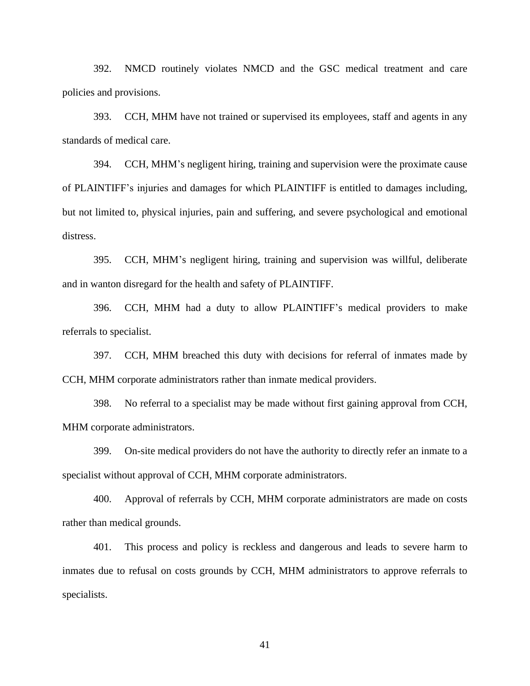392. NMCD routinely violates NMCD and the GSC medical treatment and care policies and provisions.

393. CCH, MHM have not trained or supervised its employees, staff and agents in any standards of medical care.

394. CCH, MHM's negligent hiring, training and supervision were the proximate cause of PLAINTIFF's injuries and damages for which PLAINTIFF is entitled to damages including, but not limited to, physical injuries, pain and suffering, and severe psychological and emotional distress.

395. CCH, MHM's negligent hiring, training and supervision was willful, deliberate and in wanton disregard for the health and safety of PLAINTIFF.

396. CCH, MHM had a duty to allow PLAINTIFF's medical providers to make referrals to specialist.

397. CCH, MHM breached this duty with decisions for referral of inmates made by CCH, MHM corporate administrators rather than inmate medical providers.

398. No referral to a specialist may be made without first gaining approval from CCH, MHM corporate administrators.

399. On-site medical providers do not have the authority to directly refer an inmate to a specialist without approval of CCH, MHM corporate administrators.

400. Approval of referrals by CCH, MHM corporate administrators are made on costs rather than medical grounds.

401. This process and policy is reckless and dangerous and leads to severe harm to inmates due to refusal on costs grounds by CCH, MHM administrators to approve referrals to specialists.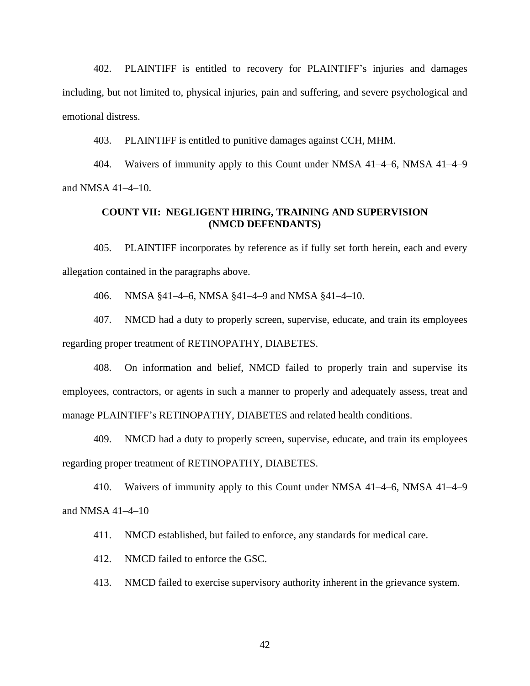402. PLAINTIFF is entitled to recovery for PLAINTIFF's injuries and damages including, but not limited to, physical injuries, pain and suffering, and severe psychological and emotional distress.

403. PLAINTIFF is entitled to punitive damages against CCH, MHM.

404. Waivers of immunity apply to this Count under NMSA 41–4–6, NMSA 41–4–9 and NMSA 41–4–10.

## **COUNT VII: NEGLIGENT HIRING, TRAINING AND SUPERVISION (NMCD DEFENDANTS)**

405. PLAINTIFF incorporates by reference as if fully set forth herein, each and every allegation contained in the paragraphs above.

406. NMSA §41–4–6, NMSA §41–4–9 and NMSA §41–4–10.

407. NMCD had a duty to properly screen, supervise, educate, and train its employees regarding proper treatment of RETINOPATHY, DIABETES.

408. On information and belief, NMCD failed to properly train and supervise its employees, contractors, or agents in such a manner to properly and adequately assess, treat and manage PLAINTIFF's RETINOPATHY, DIABETES and related health conditions.

409. NMCD had a duty to properly screen, supervise, educate, and train its employees regarding proper treatment of RETINOPATHY, DIABETES.

410. Waivers of immunity apply to this Count under NMSA 41–4–6, NMSA 41–4–9 and NMSA 41–4–10

411. NMCD established, but failed to enforce, any standards for medical care.

412. NMCD failed to enforce the GSC.

413. NMCD failed to exercise supervisory authority inherent in the grievance system.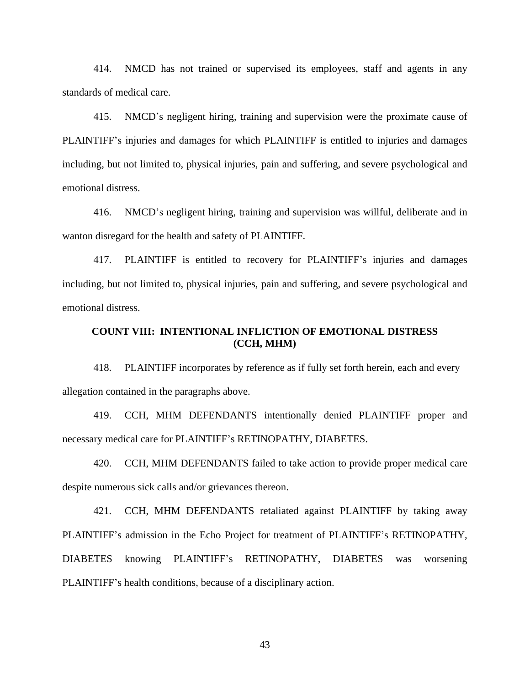414. NMCD has not trained or supervised its employees, staff and agents in any standards of medical care.

415. NMCD's negligent hiring, training and supervision were the proximate cause of PLAINTIFF's injuries and damages for which PLAINTIFF is entitled to injuries and damages including, but not limited to, physical injuries, pain and suffering, and severe psychological and emotional distress.

416. NMCD's negligent hiring, training and supervision was willful, deliberate and in wanton disregard for the health and safety of PLAINTIFF.

417. PLAINTIFF is entitled to recovery for PLAINTIFF's injuries and damages including, but not limited to, physical injuries, pain and suffering, and severe psychological and emotional distress.

## **COUNT VIII: INTENTIONAL INFLICTION OF EMOTIONAL DISTRESS (CCH, MHM)**

418. PLAINTIFF incorporates by reference as if fully set forth herein, each and every allegation contained in the paragraphs above.

419. CCH, MHM DEFENDANTS intentionally denied PLAINTIFF proper and necessary medical care for PLAINTIFF's RETINOPATHY, DIABETES.

420. CCH, MHM DEFENDANTS failed to take action to provide proper medical care despite numerous sick calls and/or grievances thereon.

421. CCH, MHM DEFENDANTS retaliated against PLAINTIFF by taking away PLAINTIFF's admission in the Echo Project for treatment of PLAINTIFF's RETINOPATHY, DIABETES knowing PLAINTIFF's RETINOPATHY, DIABETES was worsening PLAINTIFF's health conditions, because of a disciplinary action.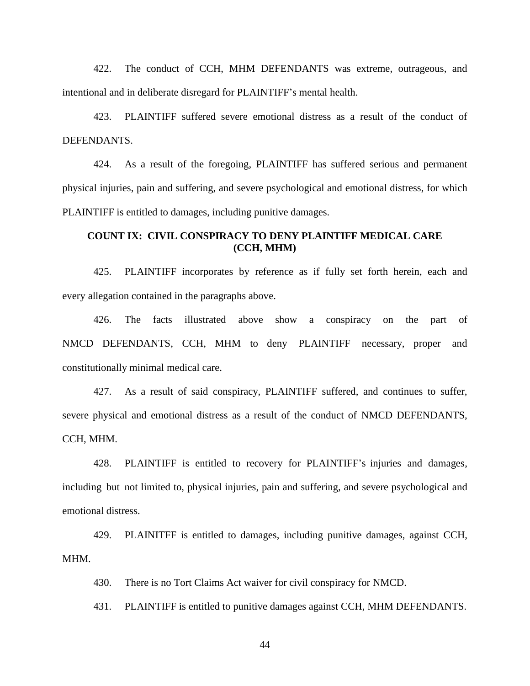422. The conduct of CCH, MHM DEFENDANTS was extreme, outrageous, and intentional and in deliberate disregard for PLAINTIFF's mental health.

423. PLAINTIFF suffered severe emotional distress as a result of the conduct of DEFENDANTS.

424. As a result of the foregoing, PLAINTIFF has suffered serious and permanent physical injuries, pain and suffering, and severe psychological and emotional distress, for which PLAINTIFF is entitled to damages, including punitive damages.

## **COUNT IX: CIVIL CONSPIRACY TO DENY PLAINTIFF MEDICAL CARE (CCH, MHM)**

425. PLAINTIFF incorporates by reference as if fully set forth herein, each and every allegation contained in the paragraphs above.

426. The facts illustrated above show a conspiracy on the part of NMCD DEFENDANTS, CCH, MHM to deny PLAINTIFF necessary, proper and constitutionally minimal medical care.

427. As a result of said conspiracy, PLAINTIFF suffered, and continues to suffer, severe physical and emotional distress as a result of the conduct of NMCD DEFENDANTS, CCH, MHM.

428. PLAINTIFF is entitled to recovery for PLAINTIFF's injuries and damages, including but not limited to, physical injuries, pain and suffering, and severe psychological and emotional distress.

429. PLAINITFF is entitled to damages, including punitive damages, against CCH, MHM.

430. There is no Tort Claims Act waiver for civil conspiracy for NMCD.

431. PLAINTIFF is entitled to punitive damages against CCH, MHM DEFENDANTS.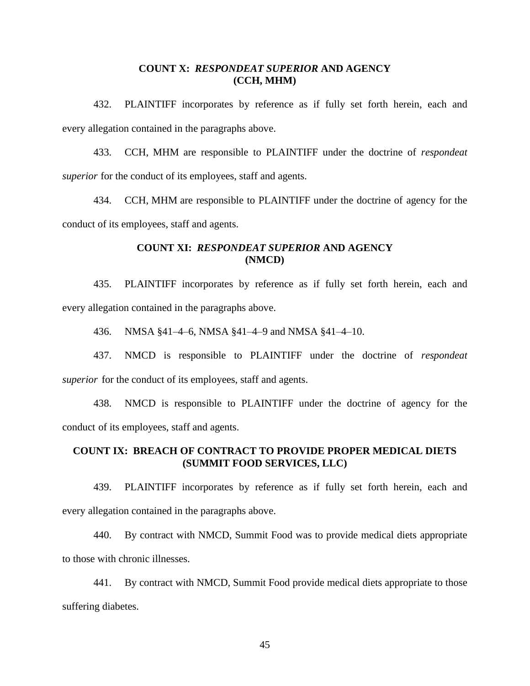## **COUNT X:** *RESPONDEAT SUPERIOR* **AND AGENCY (CCH, MHM)**

432. PLAINTIFF incorporates by reference as if fully set forth herein, each and every allegation contained in the paragraphs above.

433. CCH, MHM are responsible to PLAINTIFF under the doctrine of *respondeat superior* for the conduct of its employees, staff and agents.

434. CCH, MHM are responsible to PLAINTIFF under the doctrine of agency for the conduct of its employees, staff and agents.

## **COUNT XI:** *RESPONDEAT SUPERIOR* **AND AGENCY (NMCD)**

435. PLAINTIFF incorporates by reference as if fully set forth herein, each and every allegation contained in the paragraphs above.

436. NMSA §41–4–6, NMSA §41–4–9 and NMSA §41–4–10.

437. NMCD is responsible to PLAINTIFF under the doctrine of *respondeat superior* for the conduct of its employees, staff and agents.

438. NMCD is responsible to PLAINTIFF under the doctrine of agency for the conduct of its employees, staff and agents.

## **COUNT IX: BREACH OF CONTRACT TO PROVIDE PROPER MEDICAL DIETS (SUMMIT FOOD SERVICES, LLC)**

439. PLAINTIFF incorporates by reference as if fully set forth herein, each and every allegation contained in the paragraphs above.

440. By contract with NMCD, Summit Food was to provide medical diets appropriate to those with chronic illnesses.

441. By contract with NMCD, Summit Food provide medical diets appropriate to those suffering diabetes.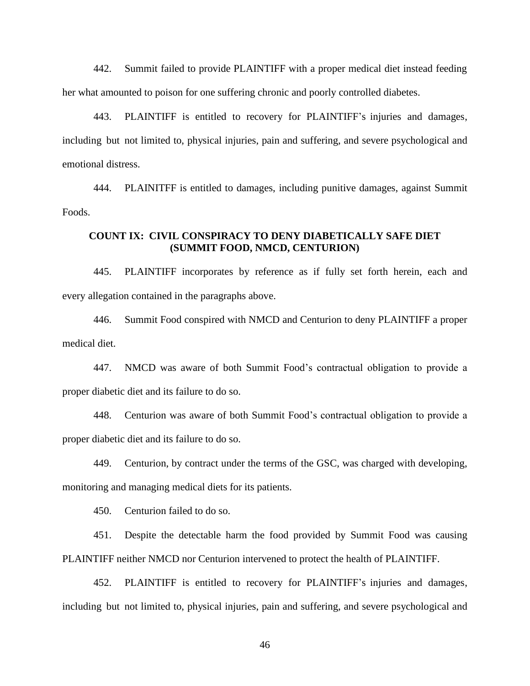442. Summit failed to provide PLAINTIFF with a proper medical diet instead feeding her what amounted to poison for one suffering chronic and poorly controlled diabetes.

443. PLAINTIFF is entitled to recovery for PLAINTIFF's injuries and damages, including but not limited to, physical injuries, pain and suffering, and severe psychological and emotional distress.

444. PLAINITFF is entitled to damages, including punitive damages, against Summit Foods.

## **COUNT IX: CIVIL CONSPIRACY TO DENY DIABETICALLY SAFE DIET (SUMMIT FOOD, NMCD, CENTURION)**

445. PLAINTIFF incorporates by reference as if fully set forth herein, each and every allegation contained in the paragraphs above.

446. Summit Food conspired with NMCD and Centurion to deny PLAINTIFF a proper medical diet.

447. NMCD was aware of both Summit Food's contractual obligation to provide a proper diabetic diet and its failure to do so.

448. Centurion was aware of both Summit Food's contractual obligation to provide a proper diabetic diet and its failure to do so.

449. Centurion, by contract under the terms of the GSC, was charged with developing, monitoring and managing medical diets for its patients.

450. Centurion failed to do so.

451. Despite the detectable harm the food provided by Summit Food was causing PLAINTIFF neither NMCD nor Centurion intervened to protect the health of PLAINTIFF.

452. PLAINTIFF is entitled to recovery for PLAINTIFF's injuries and damages, including but not limited to, physical injuries, pain and suffering, and severe psychological and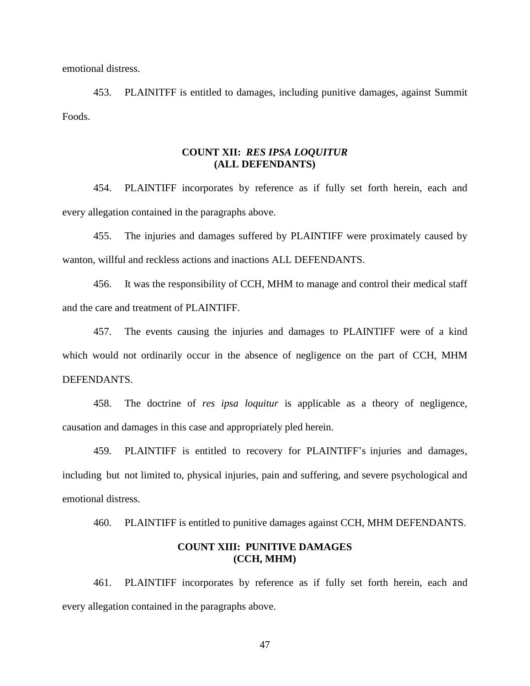emotional distress.

453. PLAINITFF is entitled to damages, including punitive damages, against Summit Foods.

## **COUNT XII:** *RES IPSA LOQUITUR* **(ALL DEFENDANTS)**

454. PLAINTIFF incorporates by reference as if fully set forth herein, each and every allegation contained in the paragraphs above.

455. The injuries and damages suffered by PLAINTIFF were proximately caused by wanton, willful and reckless actions and inactions ALL DEFENDANTS.

456. It was the responsibility of CCH, MHM to manage and control their medical staff and the care and treatment of PLAINTIFF.

457. The events causing the injuries and damages to PLAINTIFF were of a kind which would not ordinarily occur in the absence of negligence on the part of CCH, MHM DEFENDANTS.

458. The doctrine of *res ipsa loquitur* is applicable as a theory of negligence, causation and damages in this case and appropriately pled herein.

459. PLAINTIFF is entitled to recovery for PLAINTIFF's injuries and damages, including but not limited to, physical injuries, pain and suffering, and severe psychological and emotional distress.

460. PLAINTIFF is entitled to punitive damages against CCH, MHM DEFENDANTS.

### **COUNT XIII: PUNITIVE DAMAGES (CCH, MHM)**

461. PLAINTIFF incorporates by reference as if fully set forth herein, each and every allegation contained in the paragraphs above.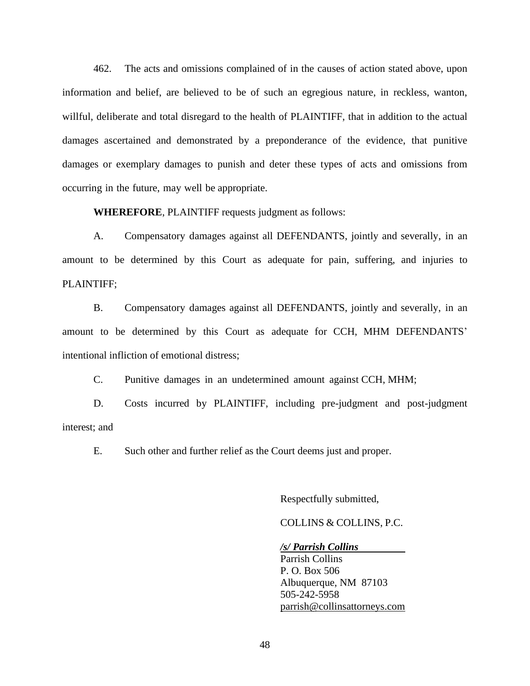462. The acts and omissions complained of in the causes of action stated above, upon information and belief, are believed to be of such an egregious nature, in reckless, wanton, willful, deliberate and total disregard to the health of PLAINTIFF, that in addition to the actual damages ascertained and demonstrated by a preponderance of the evidence, that punitive damages or exemplary damages to punish and deter these types of acts and omissions from occurring in the future, may well be appropriate.

**WHEREFORE**, PLAINTIFF requests judgment as follows:

A. Compensatory damages against all DEFENDANTS, jointly and severally, in an amount to be determined by this Court as adequate for pain, suffering, and injuries to PLAINTIFF;

B. Compensatory damages against all DEFENDANTS, jointly and severally, in an amount to be determined by this Court as adequate for CCH, MHM DEFENDANTS' intentional infliction of emotional distress;

C. Punitive damages in an undetermined amount against CCH, MHM;

D. Costs incurred by PLAINTIFF, including pre-judgment and post-judgment interest; and

E. Such other and further relief as the Court deems just and proper.

Respectfully submitted,

COLLINS & COLLINS, P.C.

#### */s/ Parrish Collins*

Parrish Collins P. O. Box 506 Albuquerque, NM 87103 505-242-5958 [parrish@collinsattorneys.com](mailto:parrish@collinsattorneys.com)